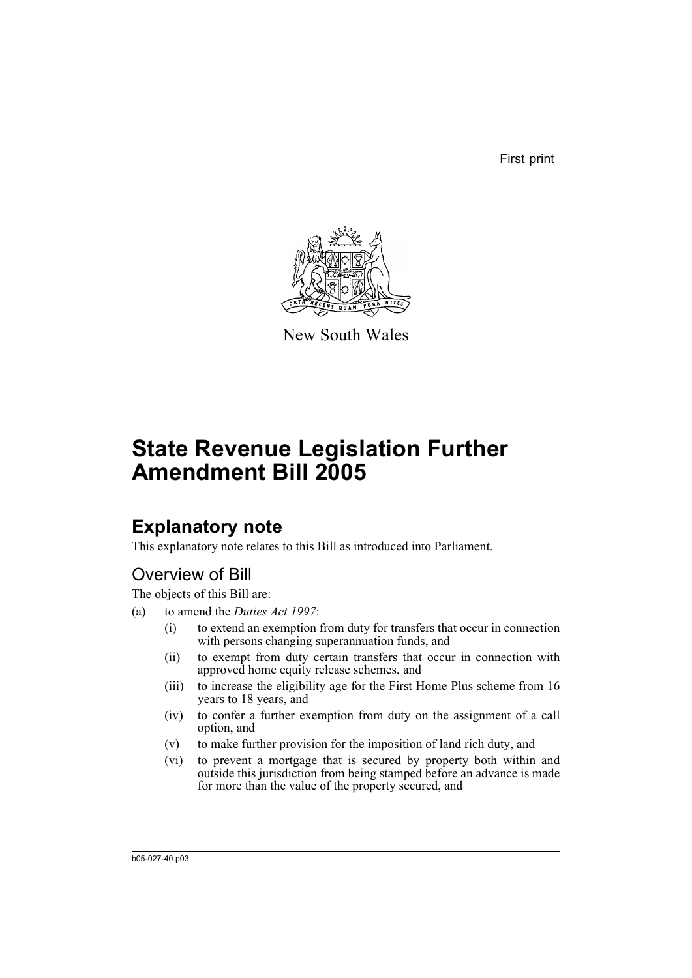First print



New South Wales

# **State Revenue Legislation Further Amendment Bill 2005**

# **Explanatory note**

This explanatory note relates to this Bill as introduced into Parliament.

# Overview of Bill

The objects of this Bill are:

- (a) to amend the *Duties Act 1997*:
	- (i) to extend an exemption from duty for transfers that occur in connection with persons changing superannuation funds, and
	- (ii) to exempt from duty certain transfers that occur in connection with approved home equity release schemes, and
	- (iii) to increase the eligibility age for the First Home Plus scheme from 16 years to 18 years, and
	- (iv) to confer a further exemption from duty on the assignment of a call option, and
	- (v) to make further provision for the imposition of land rich duty, and
	- (vi) to prevent a mortgage that is secured by property both within and outside this jurisdiction from being stamped before an advance is made for more than the value of the property secured, and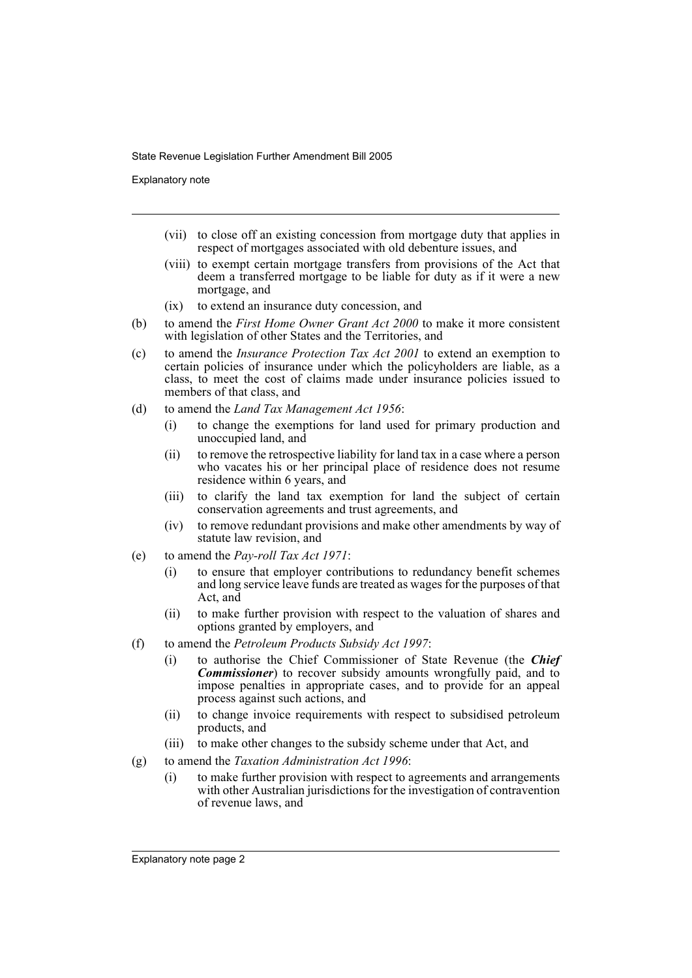Explanatory note

- (vii) to close off an existing concession from mortgage duty that applies in respect of mortgages associated with old debenture issues, and
- (viii) to exempt certain mortgage transfers from provisions of the Act that deem a transferred mortgage to be liable for duty as if it were a new mortgage, and
- (ix) to extend an insurance duty concession, and
- (b) to amend the *First Home Owner Grant Act 2000* to make it more consistent with legislation of other States and the Territories, and
- (c) to amend the *Insurance Protection Tax Act 2001* to extend an exemption to certain policies of insurance under which the policyholders are liable, as a class, to meet the cost of claims made under insurance policies issued to members of that class, and
- (d) to amend the *Land Tax Management Act 1956*:
	- (i) to change the exemptions for land used for primary production and unoccupied land, and
	- (ii) to remove the retrospective liability for land tax in a case where a person who vacates his or her principal place of residence does not resume residence within 6 years, and
	- (iii) to clarify the land tax exemption for land the subject of certain conservation agreements and trust agreements, and
	- (iv) to remove redundant provisions and make other amendments by way of statute law revision, and
- (e) to amend the *Pay-roll Tax Act 1971*:
	- (i) to ensure that employer contributions to redundancy benefit schemes and long service leave funds are treated as wages for the purposes of that Act, and
	- (ii) to make further provision with respect to the valuation of shares and options granted by employers, and
- (f) to amend the *Petroleum Products Subsidy Act 1997*:
	- (i) to authorise the Chief Commissioner of State Revenue (the *Chief Commissioner*) to recover subsidy amounts wrongfully paid, and to impose penalties in appropriate cases, and to provide for an appeal process against such actions, and
	- (ii) to change invoice requirements with respect to subsidised petroleum products, and
	- (iii) to make other changes to the subsidy scheme under that Act, and
- (g) to amend the *Taxation Administration Act 1996*:
	- (i) to make further provision with respect to agreements and arrangements with other Australian jurisdictions for the investigation of contravention of revenue laws, and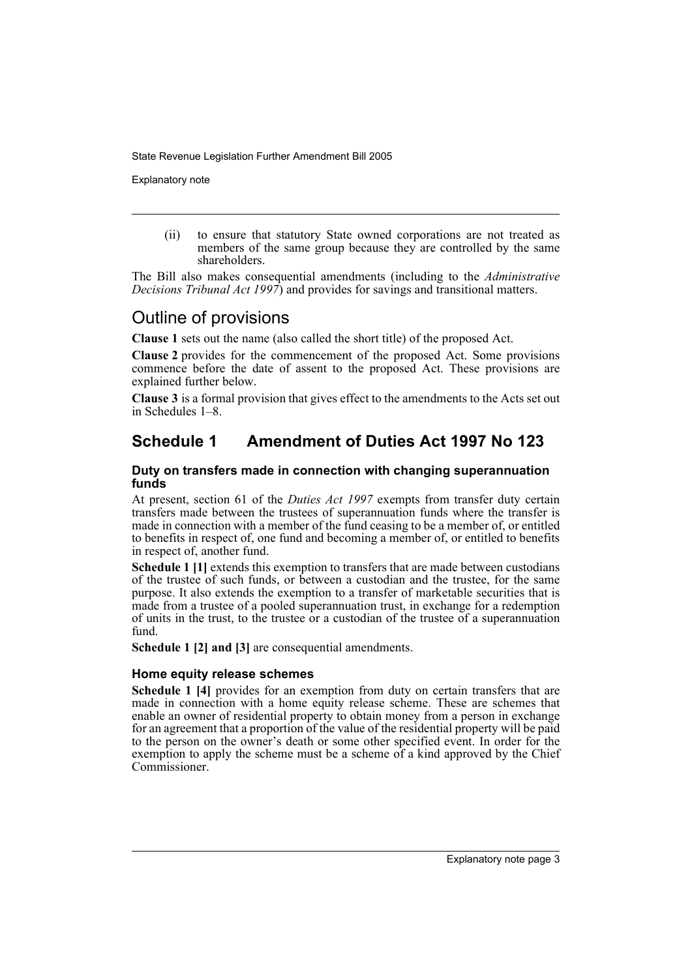Explanatory note

(ii) to ensure that statutory State owned corporations are not treated as members of the same group because they are controlled by the same shareholders.

The Bill also makes consequential amendments (including to the *Administrative Decisions Tribunal Act 1997*) and provides for savings and transitional matters.

# Outline of provisions

**Clause 1** sets out the name (also called the short title) of the proposed Act.

**Clause 2** provides for the commencement of the proposed Act. Some provisions commence before the date of assent to the proposed Act. These provisions are explained further below.

**Clause 3** is a formal provision that gives effect to the amendments to the Acts set out in Schedules 1–8.

# **Schedule 1 Amendment of Duties Act 1997 No 123**

## **Duty on transfers made in connection with changing superannuation funds**

At present, section 61 of the *Duties Act 1997* exempts from transfer duty certain transfers made between the trustees of superannuation funds where the transfer is made in connection with a member of the fund ceasing to be a member of, or entitled to benefits in respect of, one fund and becoming a member of, or entitled to benefits in respect of, another fund.

**Schedule 1 [1]** extends this exemption to transfers that are made between custodians of the trustee of such funds, or between a custodian and the trustee, for the same purpose. It also extends the exemption to a transfer of marketable securities that is made from a trustee of a pooled superannuation trust, in exchange for a redemption of units in the trust, to the trustee or a custodian of the trustee of a superannuation fund.

**Schedule 1 [2] and [3]** are consequential amendments.

## **Home equity release schemes**

**Schedule 1 [4]** provides for an exemption from duty on certain transfers that are made in connection with a home equity release scheme. These are schemes that enable an owner of residential property to obtain money from a person in exchange for an agreement that a proportion of the value of the residential property will be paid to the person on the owner's death or some other specified event. In order for the exemption to apply the scheme must be a scheme of a kind approved by the Chief Commissioner.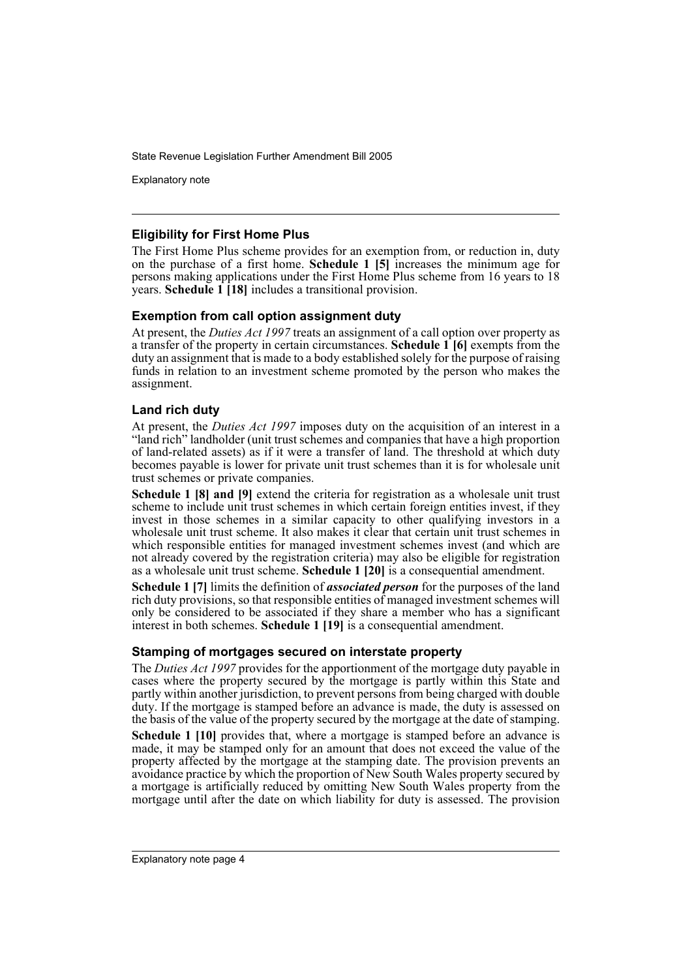Explanatory note

## **Eligibility for First Home Plus**

The First Home Plus scheme provides for an exemption from, or reduction in, duty on the purchase of a first home. **Schedule 1 [5]** increases the minimum age for persons making applications under the First Home Plus scheme from 16 years to 18 years. **Schedule 1 [18]** includes a transitional provision.

## **Exemption from call option assignment duty**

At present, the *Duties Act 1997* treats an assignment of a call option over property as a transfer of the property in certain circumstances. **Schedule 1 [6]** exempts from the duty an assignment that is made to a body established solely for the purpose of raising funds in relation to an investment scheme promoted by the person who makes the assignment.

## **Land rich duty**

At present, the *Duties Act 1997* imposes duty on the acquisition of an interest in a "land rich" landholder (unit trust schemes and companies that have a high proportion of land-related assets) as if it were a transfer of land. The threshold at which duty becomes payable is lower for private unit trust schemes than it is for wholesale unit trust schemes or private companies.

**Schedule 1 [8] and [9]** extend the criteria for registration as a wholesale unit trust scheme to include unit trust schemes in which certain foreign entities invest, if they invest in those schemes in a similar capacity to other qualifying investors in a wholesale unit trust scheme. It also makes it clear that certain unit trust schemes in which responsible entities for managed investment schemes invest (and which are not already covered by the registration criteria) may also be eligible for registration as a wholesale unit trust scheme. **Schedule 1 [20]** is a consequential amendment.

**Schedule 1 [7]** limits the definition of *associated person* for the purposes of the land rich duty provisions, so that responsible entities of managed investment schemes will only be considered to be associated if they share a member who has a significant interest in both schemes. **Schedule 1 [19]** is a consequential amendment.

## **Stamping of mortgages secured on interstate property**

The *Duties Act 1997* provides for the apportionment of the mortgage duty payable in cases where the property secured by the mortgage is partly within this State and partly within another jurisdiction, to prevent persons from being charged with double duty. If the mortgage is stamped before an advance is made, the duty is assessed on the basis of the value of the property secured by the mortgage at the date of stamping.

**Schedule 1 [10]** provides that, where a mortgage is stamped before an advance is made, it may be stamped only for an amount that does not exceed the value of the property affected by the mortgage at the stamping date. The provision prevents an avoidance practice by which the proportion of New South Wales property secured by a mortgage is artificially reduced by omitting New South Wales property from the mortgage until after the date on which liability for duty is assessed. The provision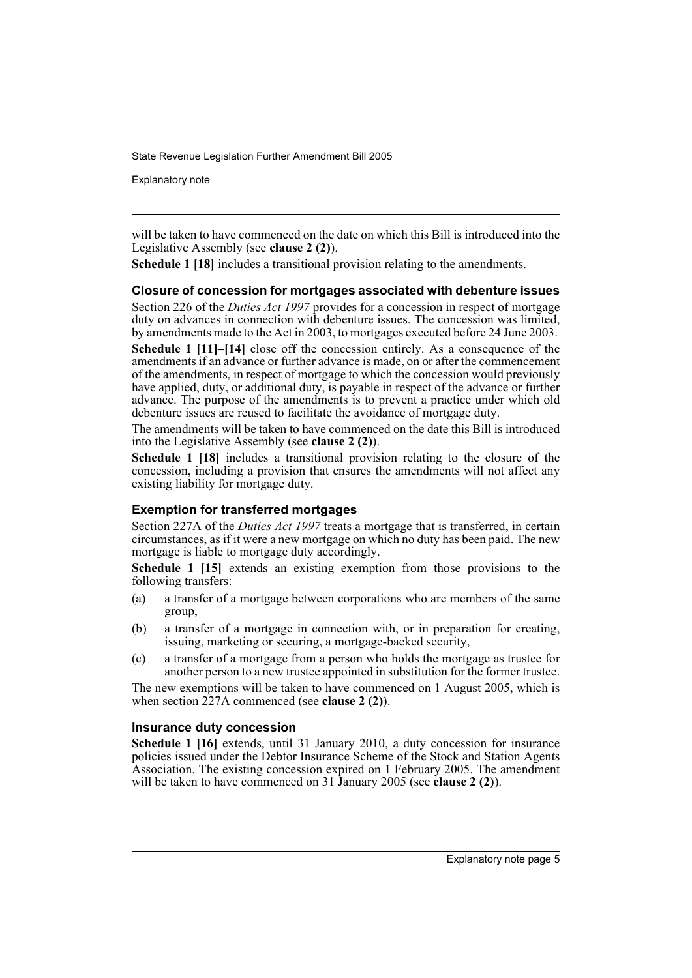Explanatory note

will be taken to have commenced on the date on which this Bill is introduced into the Legislative Assembly (see **clause 2 (2)**).

**Schedule 1 [18]** includes a transitional provision relating to the amendments.

## **Closure of concession for mortgages associated with debenture issues**

Section 226 of the *Duties Act 1997* provides for a concession in respect of mortgage duty on advances in connection with debenture issues. The concession was limited, by amendments made to the Act in 2003, to mortgages executed before 24 June 2003.

**Schedule 1 [11]–[14]** close off the concession entirely. As a consequence of the amendments if an advance or further advance is made, on or after the commencement of the amendments, in respect of mortgage to which the concession would previously have applied, duty, or additional duty, is payable in respect of the advance or further advance. The purpose of the amendments is to prevent a practice under which old debenture issues are reused to facilitate the avoidance of mortgage duty.

The amendments will be taken to have commenced on the date this Bill is introduced into the Legislative Assembly (see **clause 2 (2)**).

**Schedule 1 [18]** includes a transitional provision relating to the closure of the concession, including a provision that ensures the amendments will not affect any existing liability for mortgage duty.

## **Exemption for transferred mortgages**

Section 227A of the *Duties Act 1997* treats a mortgage that is transferred, in certain circumstances, as if it were a new mortgage on which no duty has been paid. The new mortgage is liable to mortgage duty accordingly.

**Schedule 1 [15]** extends an existing exemption from those provisions to the following transfers:

- (a) a transfer of a mortgage between corporations who are members of the same group,
- (b) a transfer of a mortgage in connection with, or in preparation for creating, issuing, marketing or securing, a mortgage-backed security,
- (c) a transfer of a mortgage from a person who holds the mortgage as trustee for another person to a new trustee appointed in substitution for the former trustee.

The new exemptions will be taken to have commenced on 1 August 2005, which is when section 227A commenced (see **clause 2 (2)**).

#### **Insurance duty concession**

**Schedule 1 [16]** extends, until 31 January 2010, a duty concession for insurance policies issued under the Debtor Insurance Scheme of the Stock and Station Agents Association. The existing concession expired on 1 February 2005. The amendment will be taken to have commenced on 31 January 2005 (see **clause 2 (2)**).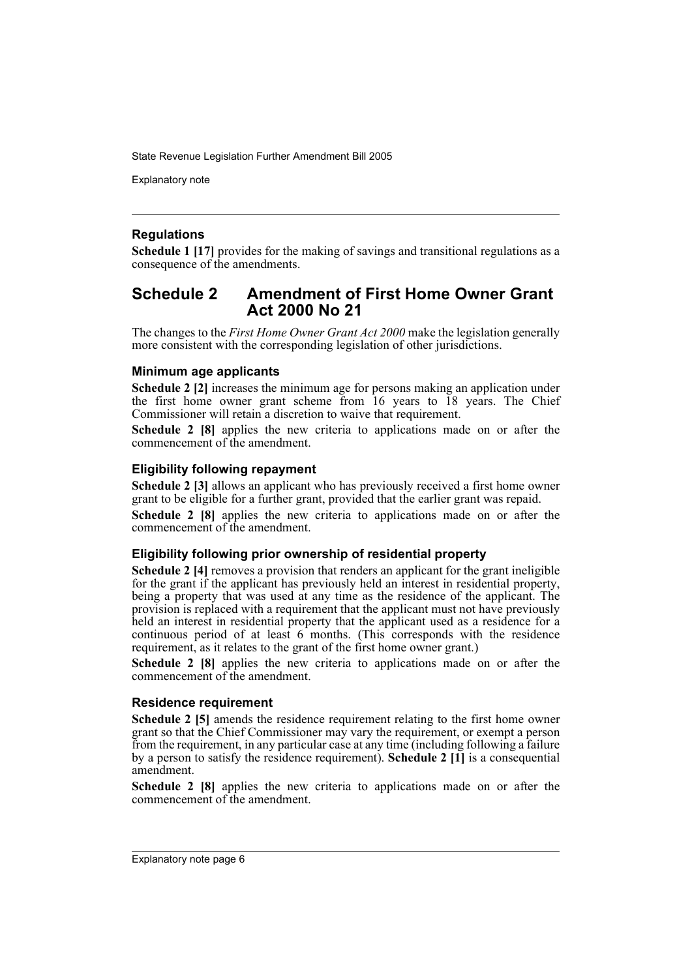Explanatory note

## **Regulations**

**Schedule 1 [17]** provides for the making of savings and transitional regulations as a consequence of the amendments.

# **Schedule 2 Amendment of First Home Owner Grant Act 2000 No 21**

The changes to the *First Home Owner Grant Act 2000* make the legislation generally more consistent with the corresponding legislation of other jurisdictions.

## **Minimum age applicants**

**Schedule 2 [2]** increases the minimum age for persons making an application under the first home owner grant scheme from 16 years to 18 years. The Chief Commissioner will retain a discretion to waive that requirement.

**Schedule 2 [8]** applies the new criteria to applications made on or after the commencement of the amendment.

### **Eligibility following repayment**

**Schedule 2 [3]** allows an applicant who has previously received a first home owner grant to be eligible for a further grant, provided that the earlier grant was repaid.

**Schedule 2 [8]** applies the new criteria to applications made on or after the commencement of the amendment.

## **Eligibility following prior ownership of residential property**

**Schedule 2 [4]** removes a provision that renders an applicant for the grant ineligible for the grant if the applicant has previously held an interest in residential property, being a property that was used at any time as the residence of the applicant. The provision is replaced with a requirement that the applicant must not have previously held an interest in residential property that the applicant used as a residence for a continuous period of at least  $6$  months. (This corresponds with the residence requirement, as it relates to the grant of the first home owner grant.)

**Schedule 2** [8] applies the new criteria to applications made on or after the commencement of the amendment.

#### **Residence requirement**

**Schedule 2 [5]** amends the residence requirement relating to the first home owner grant so that the Chief Commissioner may vary the requirement, or exempt a person from the requirement, in any particular case at any time (including following a failure by a person to satisfy the residence requirement). **Schedule 2 [1]** is a consequential amendment.

**Schedule 2 [8]** applies the new criteria to applications made on or after the commencement of the amendment.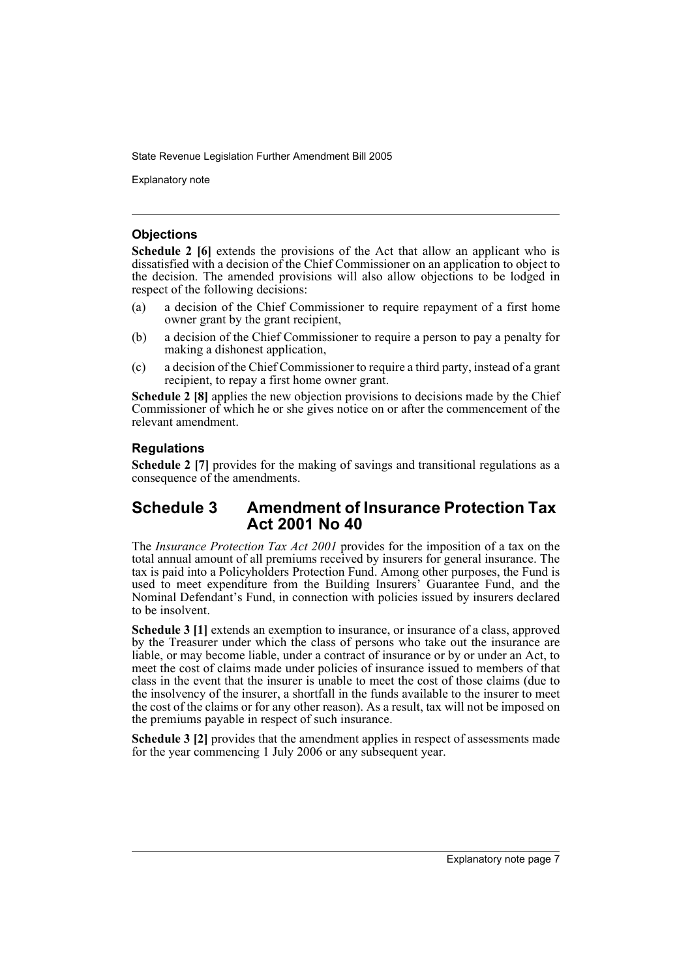Explanatory note

## **Objections**

**Schedule 2 [6]** extends the provisions of the Act that allow an applicant who is dissatisfied with a decision of the Chief Commissioner on an application to object to the decision. The amended provisions will also allow objections to be lodged in respect of the following decisions:

- (a) a decision of the Chief Commissioner to require repayment of a first home owner grant by the grant recipient,
- (b) a decision of the Chief Commissioner to require a person to pay a penalty for making a dishonest application,
- (c) a decision of the Chief Commissioner to require a third party, instead of a grant recipient, to repay a first home owner grant.

**Schedule 2 [8]** applies the new objection provisions to decisions made by the Chief Commissioner of which he or she gives notice on or after the commencement of the relevant amendment.

## **Regulations**

**Schedule 2 [7]** provides for the making of savings and transitional regulations as a consequence of the amendments.

## **Schedule 3 Amendment of Insurance Protection Tax Act 2001 No 40**

The *Insurance Protection Tax Act 2001* provides for the imposition of a tax on the total annual amount of all premiums received by insurers for general insurance. The tax is paid into a Policyholders Protection Fund. Among other purposes, the Fund is used to meet expenditure from the Building Insurers' Guarantee Fund, and the Nominal Defendant's Fund, in connection with policies issued by insurers declared to be insolvent.

**Schedule 3 [1]** extends an exemption to insurance, or insurance of a class, approved by the Treasurer under which the class of persons who take out the insurance are liable, or may become liable, under a contract of insurance or by or under an Act, to meet the cost of claims made under policies of insurance issued to members of that class in the event that the insurer is unable to meet the cost of those claims (due to the insolvency of the insurer, a shortfall in the funds available to the insurer to meet the cost of the claims or for any other reason). As a result, tax will not be imposed on the premiums payable in respect of such insurance.

**Schedule 3 [2]** provides that the amendment applies in respect of assessments made for the year commencing 1 July 2006 or any subsequent year.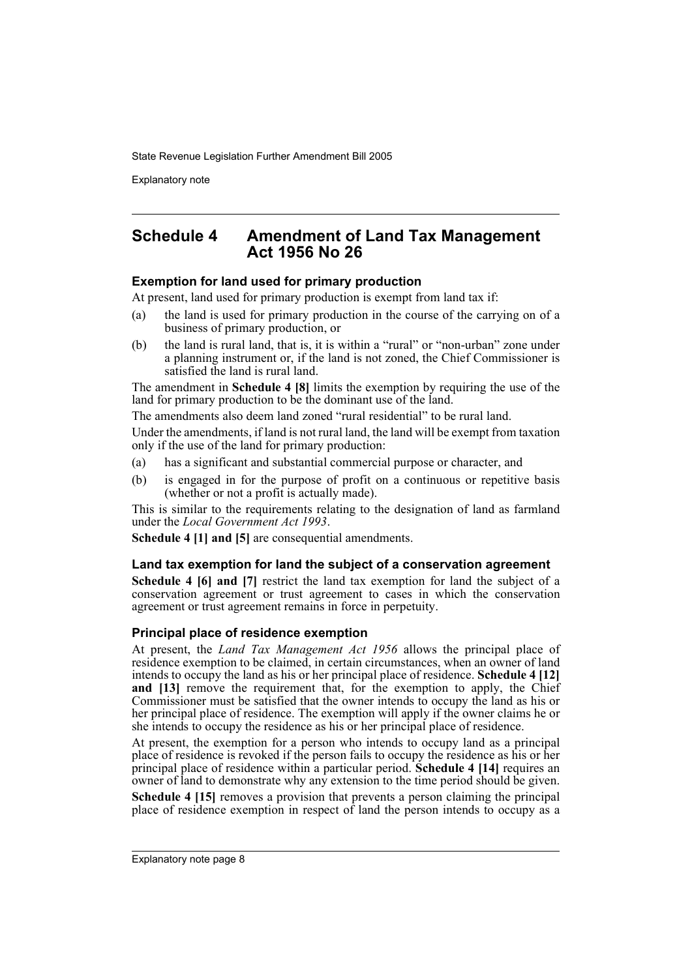Explanatory note

# **Schedule 4 Amendment of Land Tax Management Act 1956 No 26**

## **Exemption for land used for primary production**

At present, land used for primary production is exempt from land tax if:

- (a) the land is used for primary production in the course of the carrying on of a business of primary production, or
- (b) the land is rural land, that is, it is within a "rural" or "non-urban" zone under a planning instrument or, if the land is not zoned, the Chief Commissioner is satisfied the land is rural land.

The amendment in **Schedule 4 [8]** limits the exemption by requiring the use of the land for primary production to be the dominant use of the land.

The amendments also deem land zoned "rural residential" to be rural land.

Under the amendments, if land is not rural land, the land will be exempt from taxation only if the use of the land for primary production:

- (a) has a significant and substantial commercial purpose or character, and
- (b) is engaged in for the purpose of profit on a continuous or repetitive basis (whether or not a profit is actually made).

This is similar to the requirements relating to the designation of land as farmland under the *Local Government Act 1993*.

**Schedule 4 [1] and [5]** are consequential amendments.

## **Land tax exemption for land the subject of a conservation agreement**

**Schedule 4 [6] and [7]** restrict the land tax exemption for land the subject of a conservation agreement or trust agreement to cases in which the conservation agreement or trust agreement remains in force in perpetuity.

## **Principal place of residence exemption**

At present, the *Land Tax Management Act 1956* allows the principal place of residence exemption to be claimed, in certain circumstances, when an owner of land intends to occupy the land as his or her principal place of residence. **Schedule 4 [12]** and [13] remove the requirement that, for the exemption to apply, the Chief Commissioner must be satisfied that the owner intends to occupy the land as his or her principal place of residence. The exemption will apply if the owner claims he or she intends to occupy the residence as his or her principal place of residence.

At present, the exemption for a person who intends to occupy land as a principal place of residence is revoked if the person fails to occupy the residence as his or her principal place of residence within a particular period. **Schedule 4 [14]** requires an owner of land to demonstrate why any extension to the time period should be given.

**Schedule 4 [15]** removes a provision that prevents a person claiming the principal place of residence exemption in respect of land the person intends to occupy as a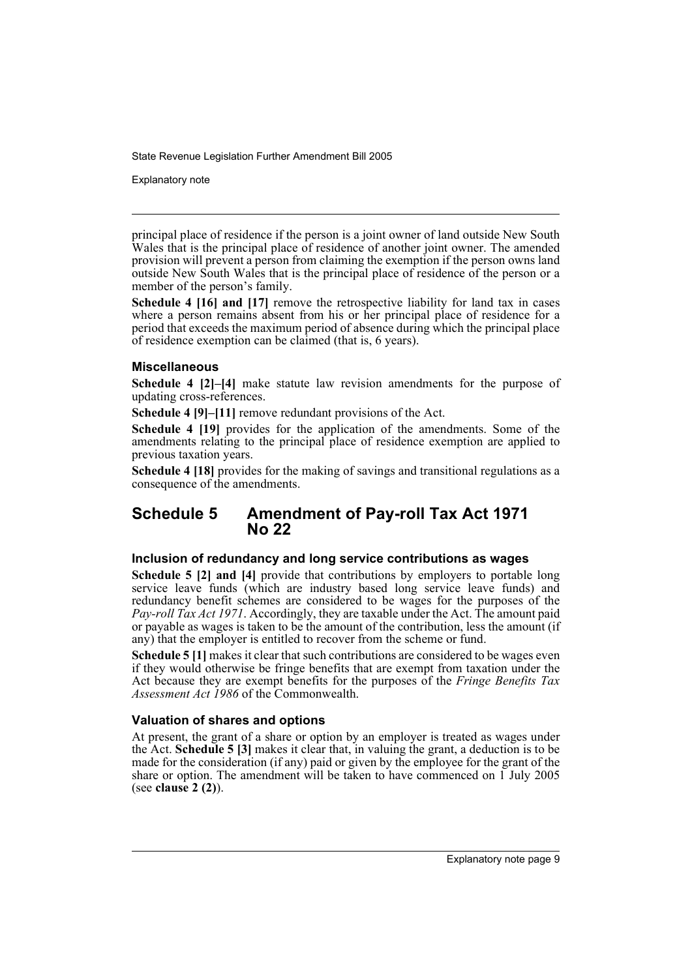Explanatory note

principal place of residence if the person is a joint owner of land outside New South Wales that is the principal place of residence of another joint owner. The amended provision will prevent a person from claiming the exemption if the person owns land outside New South Wales that is the principal place of residence of the person or a member of the person's family.

**Schedule 4 [16] and [17]** remove the retrospective liability for land tax in cases where a person remains absent from his or her principal place of residence for a period that exceeds the maximum period of absence during which the principal place of residence exemption can be claimed (that is, 6 years).

## **Miscellaneous**

**Schedule 4 [2]–[4]** make statute law revision amendments for the purpose of updating cross-references.

**Schedule 4 [9]–[11]** remove redundant provisions of the Act.

**Schedule 4 [19]** provides for the application of the amendments. Some of the amendments relating to the principal place of residence exemption are applied to previous taxation years.

**Schedule 4 [18]** provides for the making of savings and transitional regulations as a consequence of the amendments.

# **Schedule 5 Amendment of Pay-roll Tax Act 1971 No 22**

## **Inclusion of redundancy and long service contributions as wages**

**Schedule 5 [2] and [4]** provide that contributions by employers to portable long service leave funds (which are industry based long service leave funds) and redundancy benefit schemes are considered to be wages for the purposes of the *Pay-roll Tax Act 1971*. Accordingly, they are taxable under the Act. The amount paid or payable as wages is taken to be the amount of the contribution, less the amount (if any) that the employer is entitled to recover from the scheme or fund.

**Schedule 5 [1]** makes it clear that such contributions are considered to be wages even if they would otherwise be fringe benefits that are exempt from taxation under the Act because they are exempt benefits for the purposes of the *Fringe Benefits Tax Assessment Act 1986* of the Commonwealth.

## **Valuation of shares and options**

At present, the grant of a share or option by an employer is treated as wages under the Act. **Schedule 5 [3]** makes it clear that, in valuing the grant, a deduction is to be made for the consideration (if any) paid or given by the employee for the grant of the share or option. The amendment will be taken to have commenced on 1 July 2005 (see **clause 2 (2)**).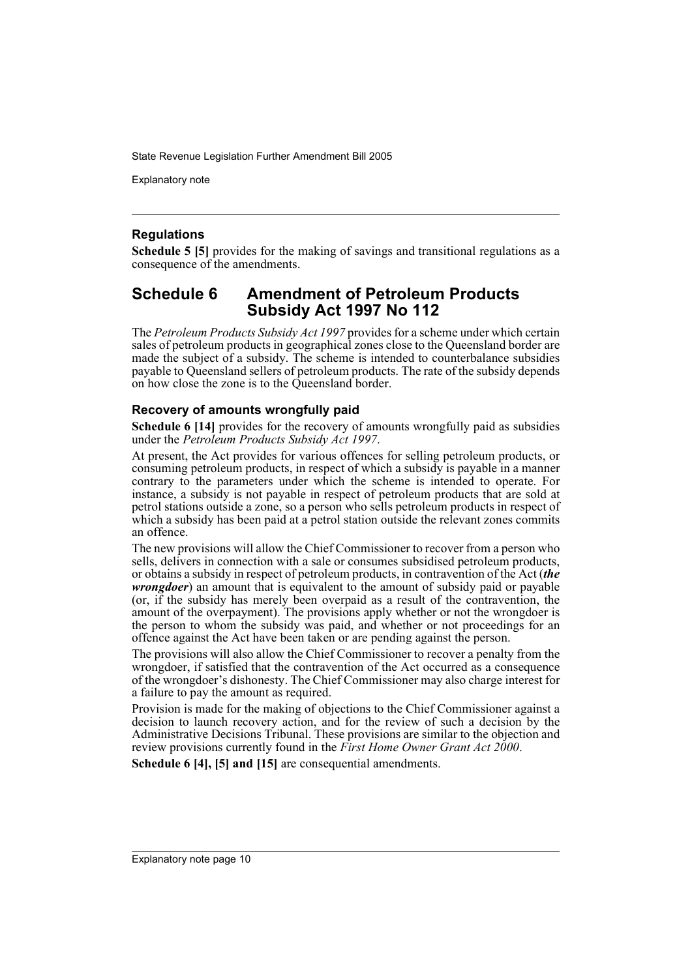Explanatory note

## **Regulations**

**Schedule 5 [5]** provides for the making of savings and transitional regulations as a consequence of the amendments.

# **Schedule 6 Amendment of Petroleum Products Subsidy Act 1997 No 112**

The *Petroleum Products Subsidy Act 1997* provides for a scheme under which certain sales of petroleum products in geographical zones close to the Queensland border are made the subject of a subsidy. The scheme is intended to counterbalance subsidies payable to Queensland sellers of petroleum products. The rate of the subsidy depends on how close the zone is to the Queensland border.

## **Recovery of amounts wrongfully paid**

**Schedule 6 [14]** provides for the recovery of amounts wrongfully paid as subsidies under the *Petroleum Products Subsidy Act 1997*.

At present, the Act provides for various offences for selling petroleum products, or consuming petroleum products, in respect of which a subsidy is payable in a manner contrary to the parameters under which the scheme is intended to operate. For instance, a subsidy is not payable in respect of petroleum products that are sold at petrol stations outside a zone, so a person who sells petroleum products in respect of which a subsidy has been paid at a petrol station outside the relevant zones commits an offence.

The new provisions will allow the Chief Commissioner to recover from a person who sells, delivers in connection with a sale or consumes subsidised petroleum products, or obtains a subsidy in respect of petroleum products, in contravention of the Act (*the wrongdoer*) an amount that is equivalent to the amount of subsidy paid or payable (or, if the subsidy has merely been overpaid as a result of the contravention, the amount of the overpayment). The provisions apply whether or not the wrongdoer is the person to whom the subsidy was paid, and whether or not proceedings for an offence against the Act have been taken or are pending against the person.

The provisions will also allow the Chief Commissioner to recover a penalty from the wrongdoer, if satisfied that the contravention of the Act occurred as a consequence of the wrongdoer's dishonesty. The Chief Commissioner may also charge interest for a failure to pay the amount as required.

Provision is made for the making of objections to the Chief Commissioner against a decision to launch recovery action, and for the review of such a decision by the Administrative Decisions Tribunal. These provisions are similar to the objection and review provisions currently found in the *First Home Owner Grant Act 2000*.

**Schedule 6 [4], [5] and [15]** are consequential amendments.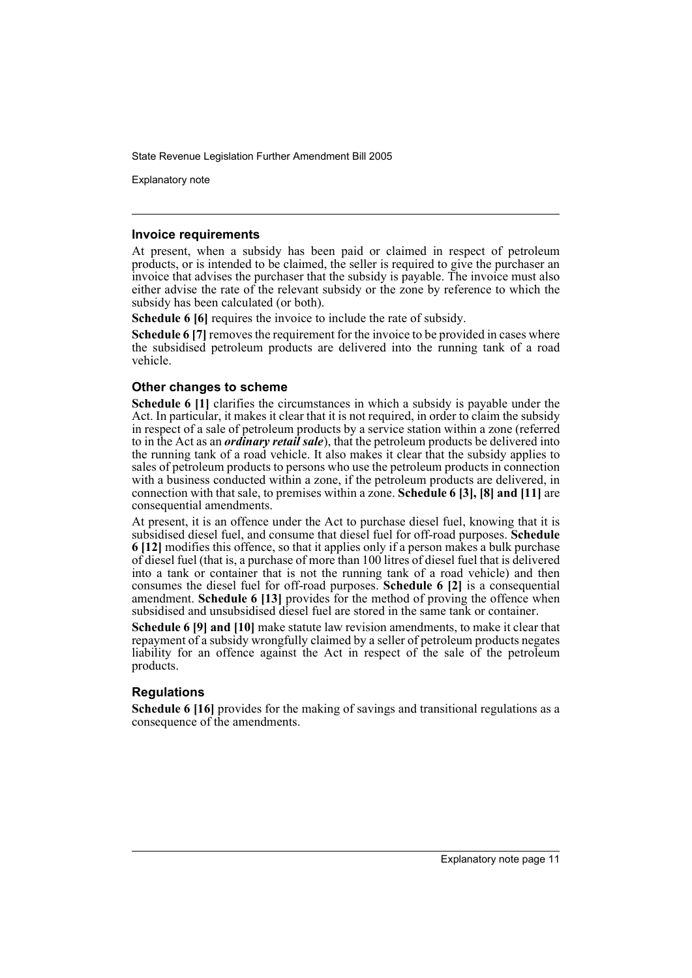Explanatory note

#### **Invoice requirements**

At present, when a subsidy has been paid or claimed in respect of petroleum products, or is intended to be claimed, the seller is required to give the purchaser an invoice that advises the purchaser that the subsidy is payable. The invoice must also either advise the rate of the relevant subsidy or the zone by reference to which the subsidy has been calculated (or both).

**Schedule 6 [6]** requires the invoice to include the rate of subsidy.

**Schedule 6 [7]** removes the requirement for the invoice to be provided in cases where the subsidised petroleum products are delivered into the running tank of a road vehicle.

### **Other changes to scheme**

**Schedule 6 [1]** clarifies the circumstances in which a subsidy is payable under the Act. In particular, it makes it clear that it is not required, in order to claim the subsidy in respect of a sale of petroleum products by a service station within a zone (referred to in the Act as an *ordinary retail sale*), that the petroleum products be delivered into the running tank of a road vehicle. It also makes it clear that the subsidy applies to sales of petroleum products to persons who use the petroleum products in connection with a business conducted within a zone, if the petroleum products are delivered, in connection with that sale, to premises within a zone. **Schedule 6 [3], [8] and [11]** are consequential amendments.

At present, it is an offence under the Act to purchase diesel fuel, knowing that it is subsidised diesel fuel, and consume that diesel fuel for off-road purposes. **Schedule 6 [12]** modifies this offence, so that it applies only if a person makes a bulk purchase of diesel fuel (that is, a purchase of more than 100 litres of diesel fuel that is delivered into a tank or container that is not the running tank of a road vehicle) and then consumes the diesel fuel for off-road purposes. **Schedule 6 [2]** is a consequential amendment. **Schedule 6 [13]** provides for the method of proving the offence when subsidised and unsubsidised diesel fuel are stored in the same tank or container.

**Schedule 6 [9] and [10]** make statute law revision amendments, to make it clear that repayment of a subsidy wrongfully claimed by a seller of petroleum products negates liability for an offence against the Act in respect of the sale of the petroleum products.

## **Regulations**

**Schedule 6 [16]** provides for the making of savings and transitional regulations as a consequence of the amendments.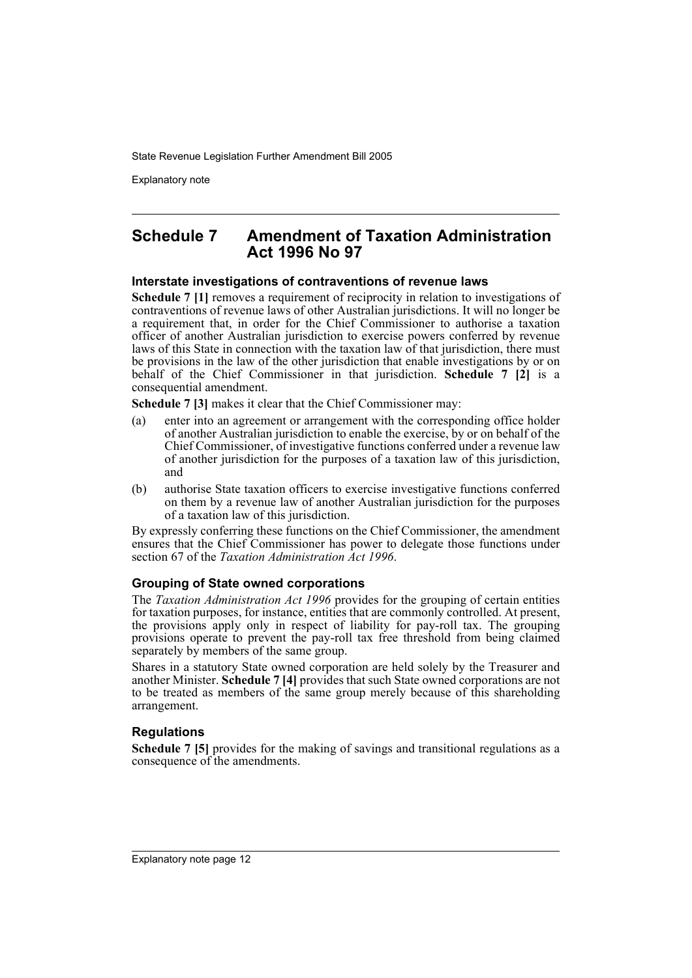Explanatory note

# **Schedule 7 Amendment of Taxation Administration Act 1996 No 97**

#### **Interstate investigations of contraventions of revenue laws**

**Schedule 7 [1]** removes a requirement of reciprocity in relation to investigations of contraventions of revenue laws of other Australian jurisdictions. It will no longer be a requirement that, in order for the Chief Commissioner to authorise a taxation officer of another Australian jurisdiction to exercise powers conferred by revenue laws of this State in connection with the taxation law of that jurisdiction, there must be provisions in the law of the other jurisdiction that enable investigations by or on behalf of the Chief Commissioner in that jurisdiction. **Schedule 7 [2]** is a consequential amendment.

**Schedule 7 [3] makes it clear that the Chief Commissioner may:** 

- (a) enter into an agreement or arrangement with the corresponding office holder of another Australian jurisdiction to enable the exercise, by or on behalf of the Chief Commissioner, of investigative functions conferred under a revenue law of another jurisdiction for the purposes of a taxation law of this jurisdiction, and
- (b) authorise State taxation officers to exercise investigative functions conferred on them by a revenue law of another Australian jurisdiction for the purposes of a taxation law of this jurisdiction.

By expressly conferring these functions on the Chief Commissioner, the amendment ensures that the Chief Commissioner has power to delegate those functions under section 67 of the *Taxation Administration Act 1996*.

## **Grouping of State owned corporations**

The *Taxation Administration Act 1996* provides for the grouping of certain entities for taxation purposes, for instance, entities that are commonly controlled. At present, the provisions apply only in respect of liability for pay-roll tax. The grouping provisions operate to prevent the pay-roll tax free threshold from being claimed separately by members of the same group.

Shares in a statutory State owned corporation are held solely by the Treasurer and another Minister. **Schedule 7 [4]** provides that such State owned corporations are not to be treated as members of the same group merely because of this shareholding arrangement.

## **Regulations**

**Schedule 7 [5]** provides for the making of savings and transitional regulations as a consequence of the amendments.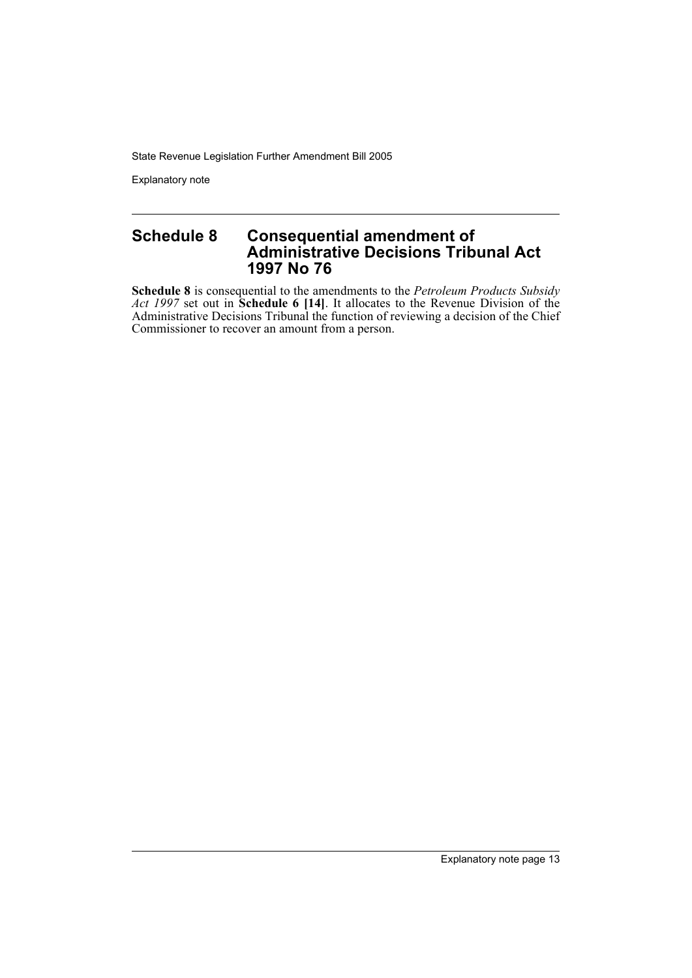Explanatory note

## **Schedule 8 Consequential amendment of Administrative Decisions Tribunal Act 1997 No 76**

**Schedule 8** is consequential to the amendments to the *Petroleum Products Subsidy Act 1997* set out in **Schedule 6 [14]**. It allocates to the Revenue Division of the Administrative Decisions Tribunal the function of reviewing a decision of the Chief Commissioner to recover an amount from a person.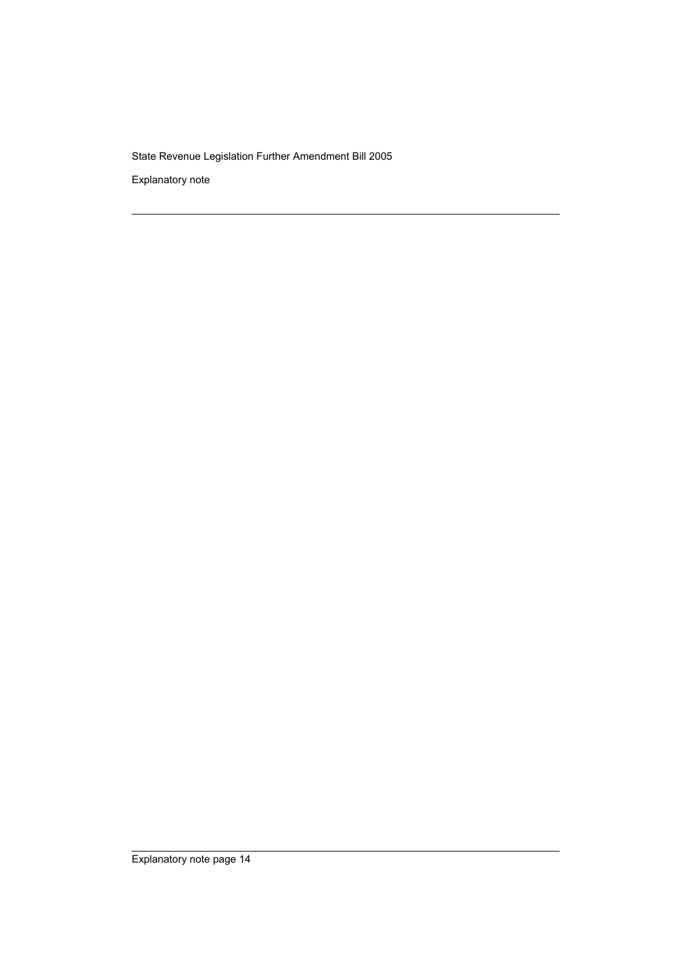Explanatory note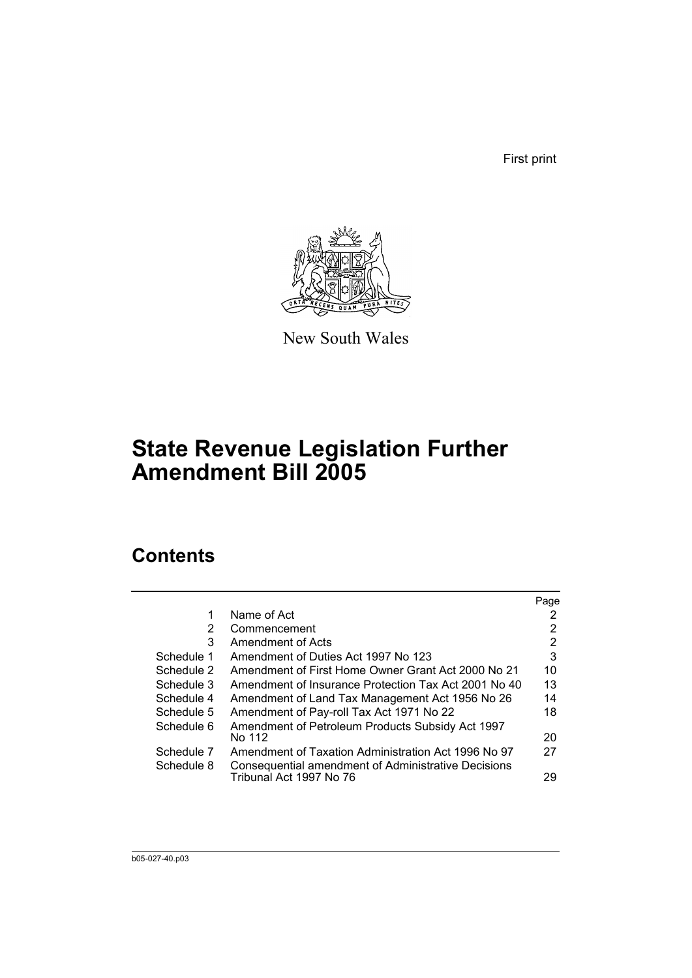First print



New South Wales

# **State Revenue Legislation Further Amendment Bill 2005**

# **Contents**

|            |                                                      | Page |
|------------|------------------------------------------------------|------|
| 1          | Name of Act                                          | 2    |
| 2          | Commencement                                         | 2    |
| 3          | Amendment of Acts                                    | 2    |
| Schedule 1 | Amendment of Duties Act 1997 No 123                  | 3    |
| Schedule 2 | Amendment of First Home Owner Grant Act 2000 No 21   | 10   |
| Schedule 3 | Amendment of Insurance Protection Tax Act 2001 No 40 | 13   |
| Schedule 4 | Amendment of Land Tax Management Act 1956 No 26      | 14   |
| Schedule 5 | Amendment of Pay-roll Tax Act 1971 No 22             | 18   |
| Schedule 6 | Amendment of Petroleum Products Subsidy Act 1997     |      |
|            | No 112                                               | 20   |
| Schedule 7 | Amendment of Taxation Administration Act 1996 No 97  | 27   |
| Schedule 8 | Consequential amendment of Administrative Decisions  |      |
|            | Tribunal Act 1997 No 76                              | 29   |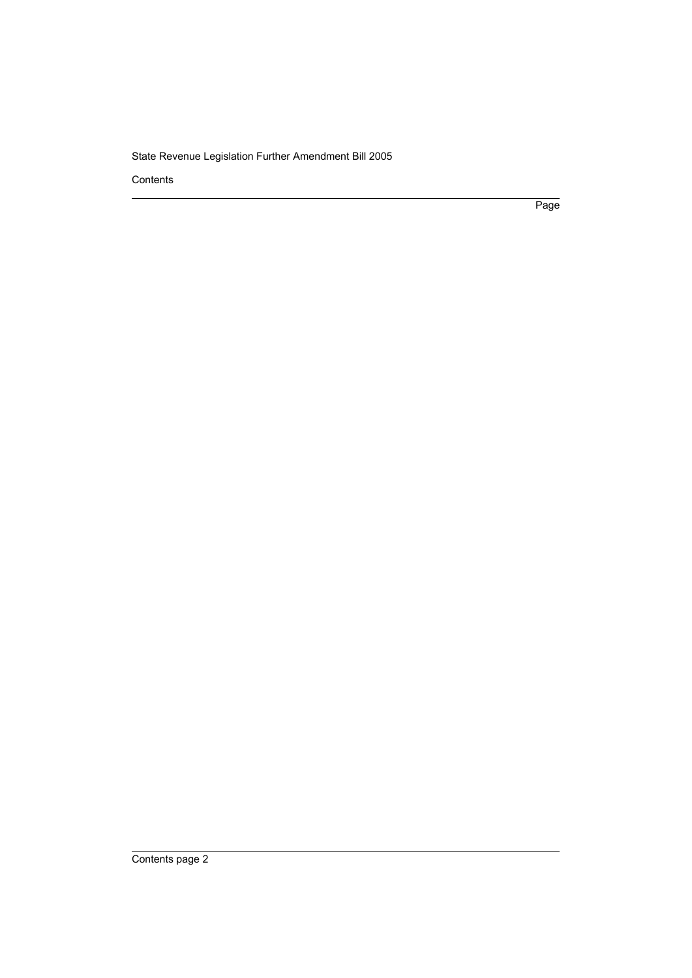Contents

Page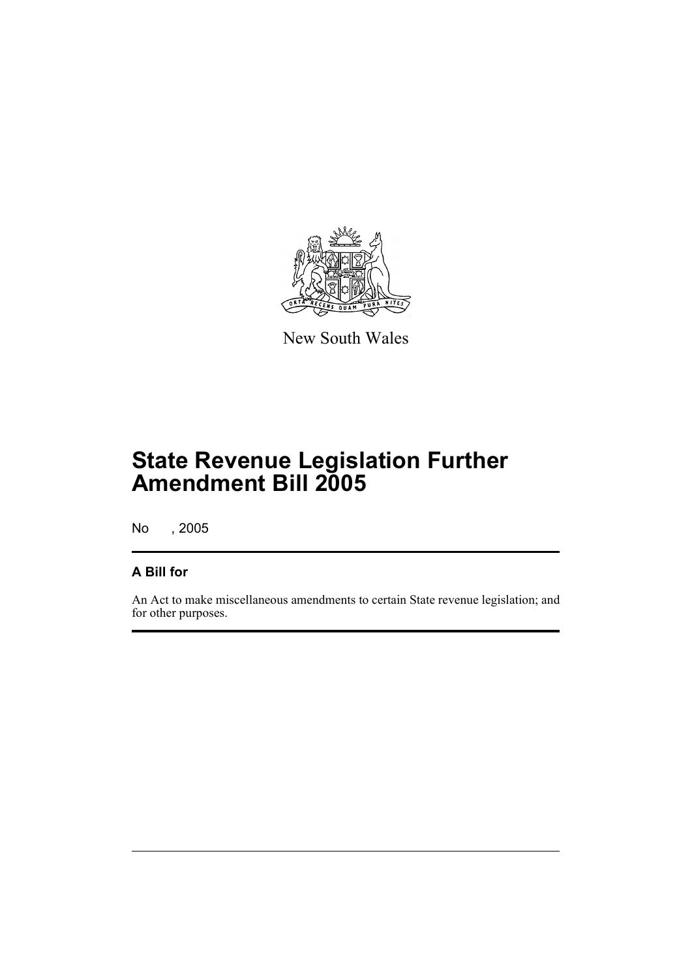

New South Wales

# **State Revenue Legislation Further Amendment Bill 2005**

No , 2005

# **A Bill for**

An Act to make miscellaneous amendments to certain State revenue legislation; and for other purposes.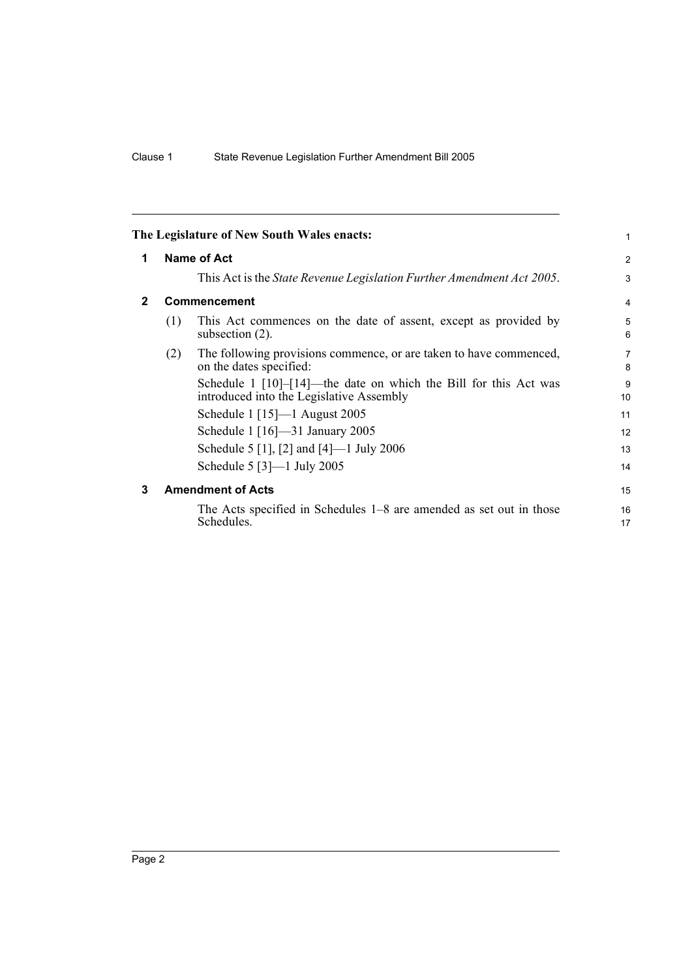|                  |     | The Legislature of New South Wales enacts:                                                                   | 1        |  |
|------------------|-----|--------------------------------------------------------------------------------------------------------------|----------|--|
| 1<br>Name of Act |     |                                                                                                              |          |  |
|                  |     | This Act is the State Revenue Legislation Further Amendment Act 2005.                                        | 3        |  |
| $\mathbf{2}$     |     | <b>Commencement</b>                                                                                          | 4        |  |
|                  | (1) | This Act commences on the date of assent, except as provided by<br>subsection $(2)$ .                        | 5<br>6   |  |
|                  | (2) | The following provisions commence, or are taken to have commenced,<br>on the dates specified:                | 7<br>8   |  |
|                  |     | Schedule 1 [10]–[14]—the date on which the Bill for this Act was<br>introduced into the Legislative Assembly | 9<br>10  |  |
|                  |     | Schedule $1 \left[ 15 \right]$ August 2005                                                                   | 11       |  |
|                  |     | Schedule $1 \lfloor 16 \rfloor$ -31 January 2005                                                             | 12       |  |
|                  |     | Schedule 5 [1], [2] and $[4]$ —1 July 2006                                                                   | 13       |  |
|                  |     | Schedule $5 [3] - 1$ July 2005                                                                               | 14       |  |
| 3                |     | <b>Amendment of Acts</b>                                                                                     | 15       |  |
|                  |     | The Acts specified in Schedules 1–8 are amended as set out in those<br>Schedules.                            | 16<br>17 |  |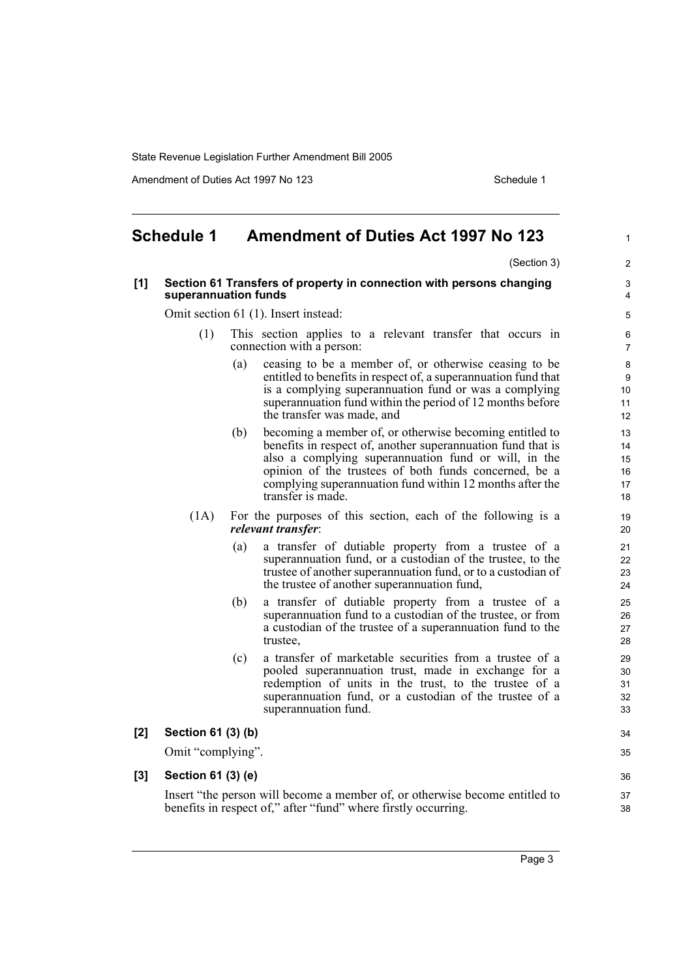Amendment of Duties Act 1997 No 123 Schedule 1

# **Schedule 1 Amendment of Duties Act 1997 No 123**

(Section 3)

1

#### **[1] Section 61 Transfers of property in connection with persons changing superannuation funds**

Omit section 61 (1). Insert instead:

- (1) This section applies to a relevant transfer that occurs in connection with a person:
	- (a) ceasing to be a member of, or otherwise ceasing to be entitled to benefits in respect of, a superannuation fund that is a complying superannuation fund or was a complying superannuation fund within the period of 12 months before the transfer was made, and
	- (b) becoming a member of, or otherwise becoming entitled to benefits in respect of, another superannuation fund that is also a complying superannuation fund or will, in the opinion of the trustees of both funds concerned, be a complying superannuation fund within 12 months after the transfer is made.
- (1A) For the purposes of this section, each of the following is a *relevant transfer*:
	- (a) a transfer of dutiable property from a trustee of a superannuation fund, or a custodian of the trustee, to the trustee of another superannuation fund, or to a custodian of the trustee of another superannuation fund,
	- (b) a transfer of dutiable property from a trustee of a superannuation fund to a custodian of the trustee, or from a custodian of the trustee of a superannuation fund to the trustee,
	- (c) a transfer of marketable securities from a trustee of a pooled superannuation trust, made in exchange for a redemption of units in the trust, to the trustee of a superannuation fund, or a custodian of the trustee of a superannuation fund.

#### **[2] Section 61 (3) (b)**

Omit "complying".

#### **[3] Section 61 (3) (e)**

Insert "the person will become a member of, or otherwise become entitled to benefits in respect of," after "fund" where firstly occurring.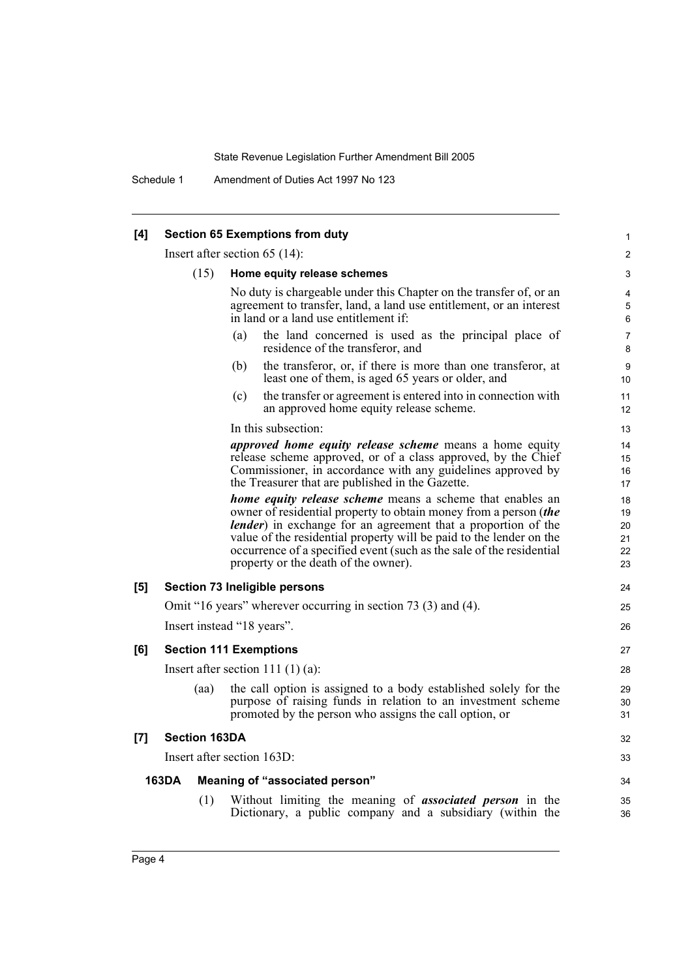Schedule 1 Amendment of Duties Act 1997 No 123

| [4]                                                           | <b>Section 65 Exemptions from duty</b> |                      |                                                                                                                                                                                                                                                                                                                                                                                                      |                                  |  |  |
|---------------------------------------------------------------|----------------------------------------|----------------------|------------------------------------------------------------------------------------------------------------------------------------------------------------------------------------------------------------------------------------------------------------------------------------------------------------------------------------------------------------------------------------------------------|----------------------------------|--|--|
|                                                               |                                        |                      | Insert after section 65 (14):                                                                                                                                                                                                                                                                                                                                                                        | $\overline{c}$                   |  |  |
|                                                               |                                        | (15)                 | Home equity release schemes                                                                                                                                                                                                                                                                                                                                                                          | 3                                |  |  |
|                                                               |                                        |                      | No duty is chargeable under this Chapter on the transfer of, or an<br>agreement to transfer, land, a land use entitlement, or an interest<br>in land or a land use entitlement if:                                                                                                                                                                                                                   | 4<br>5<br>6                      |  |  |
|                                                               |                                        |                      | the land concerned is used as the principal place of<br>(a)<br>residence of the transferor, and                                                                                                                                                                                                                                                                                                      | $\overline{7}$<br>8              |  |  |
|                                                               |                                        |                      | the transferor, or, if there is more than one transferor, at<br>(b)<br>least one of them, is aged 65 years or older, and                                                                                                                                                                                                                                                                             | 9<br>10                          |  |  |
|                                                               |                                        |                      | the transfer or agreement is entered into in connection with<br>(c)<br>an approved home equity release scheme.                                                                                                                                                                                                                                                                                       | 11<br>12                         |  |  |
|                                                               |                                        |                      | In this subsection:                                                                                                                                                                                                                                                                                                                                                                                  | 13                               |  |  |
|                                                               |                                        |                      | <i>approved home equity release scheme</i> means a home equity<br>release scheme approved, or of a class approved, by the Chief<br>Commissioner, in accordance with any guidelines approved by<br>the Treasurer that are published in the Gazette.                                                                                                                                                   | 14<br>15<br>16<br>17             |  |  |
|                                                               |                                        |                      | <b>home equity release scheme</b> means a scheme that enables an<br>owner of residential property to obtain money from a person (the<br><i>lender</i> ) in exchange for an agreement that a proportion of the<br>value of the residential property will be paid to the lender on the<br>occurrence of a specified event (such as the sale of the residential<br>property or the death of the owner). | 18<br>19<br>20<br>21<br>22<br>23 |  |  |
| [5]                                                           |                                        |                      | Section 73 Ineligible persons                                                                                                                                                                                                                                                                                                                                                                        | 24                               |  |  |
| Omit "16 years" wherever occurring in section 73 (3) and (4). |                                        |                      | 25                                                                                                                                                                                                                                                                                                                                                                                                   |                                  |  |  |
|                                                               |                                        |                      | Insert instead "18 years".                                                                                                                                                                                                                                                                                                                                                                           | 26                               |  |  |
| [6]                                                           | <b>Section 111 Exemptions</b>          |                      |                                                                                                                                                                                                                                                                                                                                                                                                      |                                  |  |  |
|                                                               |                                        |                      | Insert after section 111 $(1)(a)$ :                                                                                                                                                                                                                                                                                                                                                                  |                                  |  |  |
|                                                               |                                        | (aa)                 | the call option is assigned to a body established solely for the<br>purpose of raising funds in relation to an investment scheme<br>promoted by the person who assigns the call option, or                                                                                                                                                                                                           | 29<br>30<br>31                   |  |  |
| [7]                                                           |                                        | <b>Section 163DA</b> |                                                                                                                                                                                                                                                                                                                                                                                                      | 32                               |  |  |
|                                                               |                                        |                      | Insert after section 163D:                                                                                                                                                                                                                                                                                                                                                                           | 33                               |  |  |
|                                                               | <b>163DA</b>                           |                      | Meaning of "associated person"                                                                                                                                                                                                                                                                                                                                                                       | 34                               |  |  |
| (1)                                                           |                                        |                      | Without limiting the meaning of <i>associated person</i> in the<br>Dictionary, a public company and a subsidiary (within the                                                                                                                                                                                                                                                                         | 35<br>36                         |  |  |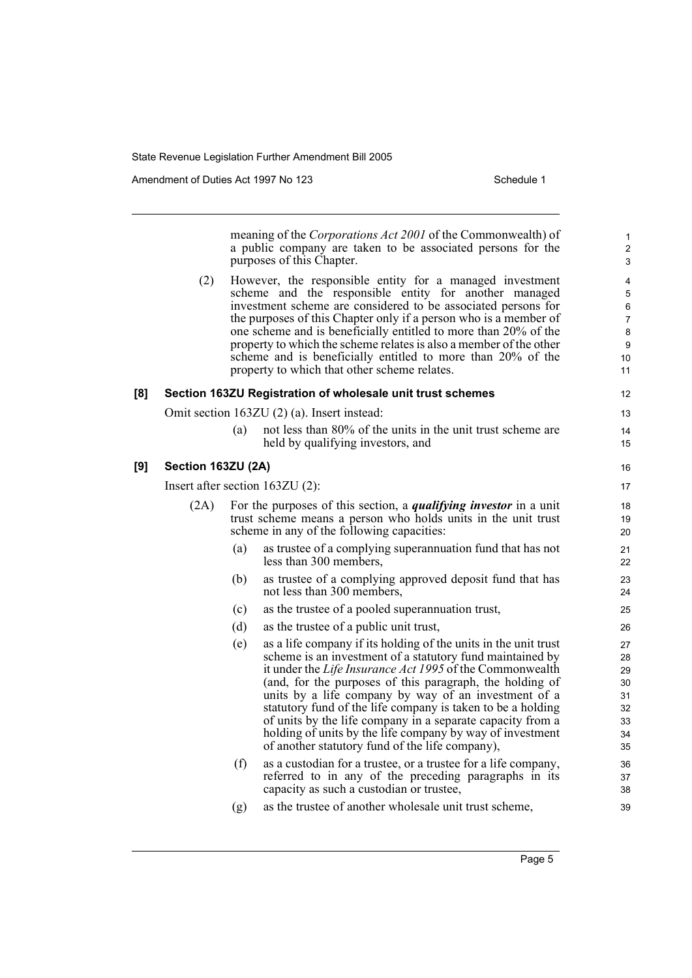Amendment of Duties Act 1997 No 123 Schedule 1

**[9]** 

|     |                                   |     | meaning of the <i>Corporations Act 2001</i> of the Commonwealth) of<br>a public company are taken to be associated persons for the<br>purposes of this Chapter.                                                                                                                                                                                                                                                                                                                                                                                           | 1<br>$\overline{2}$<br>3                            |  |  |
|-----|-----------------------------------|-----|-----------------------------------------------------------------------------------------------------------------------------------------------------------------------------------------------------------------------------------------------------------------------------------------------------------------------------------------------------------------------------------------------------------------------------------------------------------------------------------------------------------------------------------------------------------|-----------------------------------------------------|--|--|
|     | (2)                               |     | However, the responsible entity for a managed investment<br>scheme and the responsible entity for another managed<br>investment scheme are considered to be associated persons for<br>the purposes of this Chapter only if a person who is a member of<br>one scheme and is beneficially entitled to more than 20% of the<br>property to which the scheme relates is also a member of the other<br>scheme and is beneficially entitled to more than 20% of the<br>property to which that other scheme relates.                                            | 4<br>5<br>6<br>$\overline{7}$<br>8<br>9<br>10<br>11 |  |  |
| [8] |                                   |     | Section 163ZU Registration of wholesale unit trust schemes                                                                                                                                                                                                                                                                                                                                                                                                                                                                                                | 12                                                  |  |  |
|     |                                   |     | Omit section 163ZU (2) (a). Insert instead:                                                                                                                                                                                                                                                                                                                                                                                                                                                                                                               | 13                                                  |  |  |
|     |                                   | (a) | not less than 80% of the units in the unit trust scheme are<br>held by qualifying investors, and                                                                                                                                                                                                                                                                                                                                                                                                                                                          | 14<br>15                                            |  |  |
| [9] | Section 163ZU (2A)                |     |                                                                                                                                                                                                                                                                                                                                                                                                                                                                                                                                                           | 16                                                  |  |  |
|     | Insert after section $163ZU(2)$ : |     |                                                                                                                                                                                                                                                                                                                                                                                                                                                                                                                                                           |                                                     |  |  |
|     | (2A)                              |     | For the purposes of this section, a <i>qualifying investor</i> in a unit<br>trust scheme means a person who holds units in the unit trust<br>scheme in any of the following capacities:                                                                                                                                                                                                                                                                                                                                                                   | 18<br>19<br>20                                      |  |  |
|     |                                   | (a) | as trustee of a complying superannuation fund that has not<br>less than 300 members,                                                                                                                                                                                                                                                                                                                                                                                                                                                                      | 21<br>22                                            |  |  |
|     |                                   | (b) | as trustee of a complying approved deposit fund that has<br>not less than 300 members,                                                                                                                                                                                                                                                                                                                                                                                                                                                                    | 23<br>24                                            |  |  |
|     |                                   | (c) | as the trustee of a pooled superannuation trust,                                                                                                                                                                                                                                                                                                                                                                                                                                                                                                          | 25                                                  |  |  |
|     |                                   | (d) | as the trustee of a public unit trust,                                                                                                                                                                                                                                                                                                                                                                                                                                                                                                                    | 26                                                  |  |  |
|     |                                   | (e) | as a life company if its holding of the units in the unit trust<br>scheme is an investment of a statutory fund maintained by<br>it under the Life Insurance Act 1995 of the Commonwealth<br>(and, for the purposes of this paragraph, the holding of<br>units by a life company by way of an investment of a<br>statutory fund of the life company is taken to be a holding<br>of units by the life company in a separate capacity from a<br>holding of units by the life company by way of investment<br>of another statutory fund of the life company), | 27<br>28<br>29<br>30<br>31<br>32<br>33<br>34<br>35  |  |  |
|     |                                   | (f) | as a custodian for a trustee, or a trustee for a life company,<br>referred to in any of the preceding paragraphs in its<br>capacity as such a custodian or trustee,                                                                                                                                                                                                                                                                                                                                                                                       | 36<br>37<br>38                                      |  |  |
|     |                                   | (g) | as the trustee of another wholesale unit trust scheme,                                                                                                                                                                                                                                                                                                                                                                                                                                                                                                    | 39                                                  |  |  |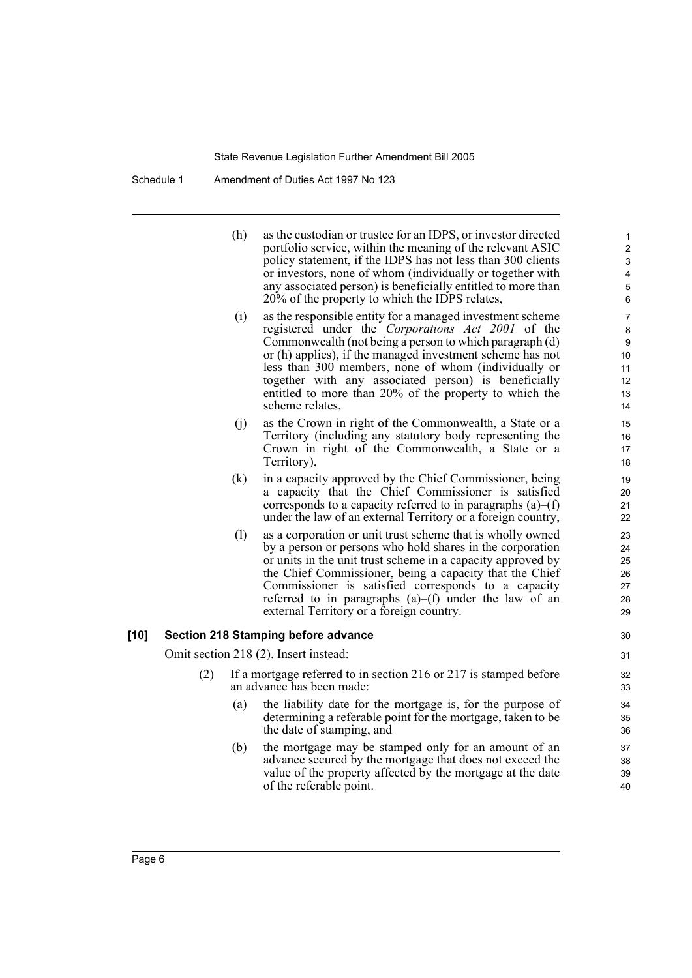Schedule 1 Amendment of Duties Act 1997 No 123

| (h) | as the custodian or trustee for an IDPS, or investor directed |
|-----|---------------------------------------------------------------|
|     | portfolio service, within the meaning of the relevant ASIC    |
|     | policy statement, if the IDPS has not less than 300 clients   |
|     | or investors, none of whom (individually or together with     |
|     | any associated person) is beneficially entitled to more than  |
|     | 20% of the property to which the IDPS relates,                |

- (i) as the responsible entity for a managed investment scheme registered under the *Corporations Act 2001* of the Commonwealth (not being a person to which paragraph (d) or (h) applies), if the managed investment scheme has not less than 300 members, none of whom (individually or together with any associated person) is beneficially entitled to more than 20% of the property to which the scheme relates,
- (j) as the Crown in right of the Commonwealth, a State or a Territory (including any statutory body representing the Crown in right of the Commonwealth, a State or a Territory),
- (k) in a capacity approved by the Chief Commissioner, being a capacity that the Chief Commissioner is satisfied corresponds to a capacity referred to in paragraphs (a)–(f) under the law of an external Territory or a foreign country,
- (l) as a corporation or unit trust scheme that is wholly owned by a person or persons who hold shares in the corporation or units in the unit trust scheme in a capacity approved by the Chief Commissioner, being a capacity that the Chief Commissioner is satisfied corresponds to a capacity referred to in paragraphs  $(a)$ – $(f)$  under the law of an external Territory or a foreign country.

#### **[10] Section 218 Stamping before advance**

Omit section 218 (2). Insert instead:

- (2) If a mortgage referred to in section 216 or 217 is stamped before an advance has been made:
	- (a) the liability date for the mortgage is, for the purpose of determining a referable point for the mortgage, taken to be the date of stamping, and
	- (b) the mortgage may be stamped only for an amount of an advance secured by the mortgage that does not exceed the value of the property affected by the mortgage at the date of the referable point.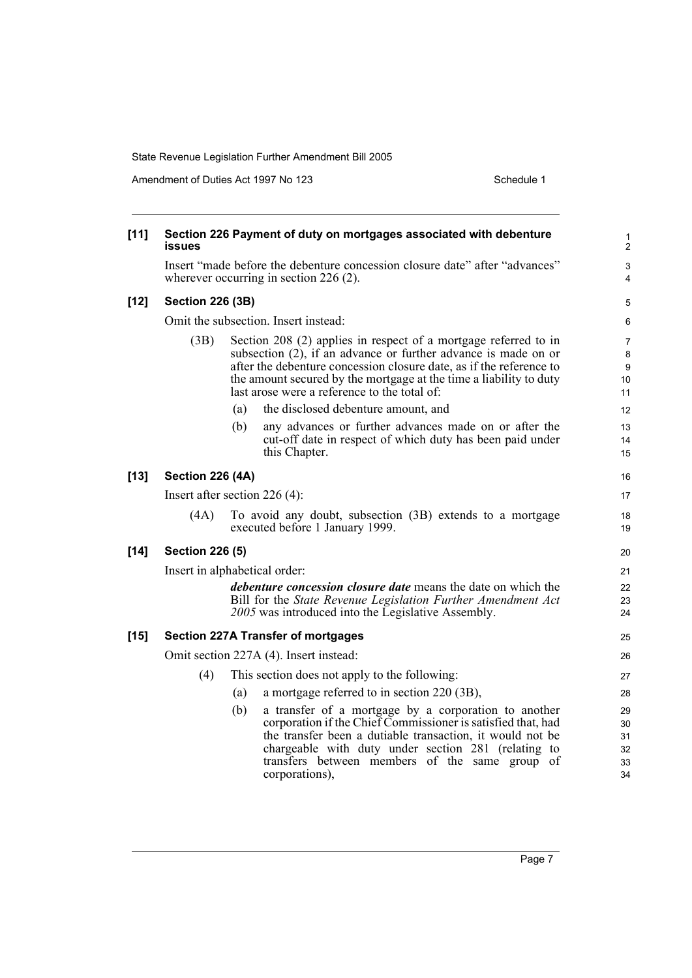Amendment of Duties Act 1997 No 123 Schedule 1

| $[11]$ | Section 226 Payment of duty on mortgages associated with debenture<br>issues |     |                                                                                                                                                                                                                                                                                                                                |                                  |  |  |
|--------|------------------------------------------------------------------------------|-----|--------------------------------------------------------------------------------------------------------------------------------------------------------------------------------------------------------------------------------------------------------------------------------------------------------------------------------|----------------------------------|--|--|
|        |                                                                              |     | Insert "made before the debenture concession closure date" after "advances"<br>wherever occurring in section $226(2)$ .                                                                                                                                                                                                        | 3<br>4                           |  |  |
| $[12]$ | <b>Section 226 (3B)</b>                                                      |     |                                                                                                                                                                                                                                                                                                                                | 5                                |  |  |
|        |                                                                              |     | Omit the subsection. Insert instead:                                                                                                                                                                                                                                                                                           | 6                                |  |  |
|        | (3B)                                                                         |     | Section 208 (2) applies in respect of a mortgage referred to in<br>subsection (2), if an advance or further advance is made on or<br>after the debenture concession closure date, as if the reference to<br>the amount secured by the mortgage at the time a liability to duty<br>last arose were a reference to the total of: | 7<br>8<br>9<br>10<br>11          |  |  |
|        |                                                                              | (a) | the disclosed debenture amount, and                                                                                                                                                                                                                                                                                            | 12                               |  |  |
|        |                                                                              | (b) | any advances or further advances made on or after the<br>cut-off date in respect of which duty has been paid under<br>this Chapter.                                                                                                                                                                                            | 13<br>14<br>15                   |  |  |
| $[13]$ | <b>Section 226 (4A)</b>                                                      |     |                                                                                                                                                                                                                                                                                                                                | 16                               |  |  |
|        | Insert after section $226(4)$ :                                              |     |                                                                                                                                                                                                                                                                                                                                |                                  |  |  |
|        | (4A)                                                                         |     | To avoid any doubt, subsection (3B) extends to a mortgage<br>executed before 1 January 1999.                                                                                                                                                                                                                                   | 18<br>19                         |  |  |
| $[14]$ | <b>Section 226 (5)</b>                                                       |     |                                                                                                                                                                                                                                                                                                                                | 20                               |  |  |
|        | Insert in alphabetical order:                                                |     |                                                                                                                                                                                                                                                                                                                                | 21                               |  |  |
|        |                                                                              |     | <i>debenture concession closure date</i> means the date on which the<br>Bill for the State Revenue Legislation Further Amendment Act<br>2005 was introduced into the Legislative Assembly.                                                                                                                                     | 22<br>23<br>24                   |  |  |
| $[15]$ |                                                                              |     | <b>Section 227A Transfer of mortgages</b>                                                                                                                                                                                                                                                                                      | 25                               |  |  |
|        | Omit section 227A (4). Insert instead:                                       |     |                                                                                                                                                                                                                                                                                                                                |                                  |  |  |
|        | (4)                                                                          |     | This section does not apply to the following:                                                                                                                                                                                                                                                                                  | 27                               |  |  |
|        |                                                                              | (a) | a mortgage referred to in section 220 (3B),                                                                                                                                                                                                                                                                                    | 28                               |  |  |
|        |                                                                              | (b) | a transfer of a mortgage by a corporation to another<br>corporation if the Chief Commissioner is satisfied that, had<br>the transfer been a dutiable transaction, it would not be<br>chargeable with duty under section 281 (relating to<br>transfers between members of the same group of<br>corporations),                   | 29<br>30<br>31<br>32<br>33<br>34 |  |  |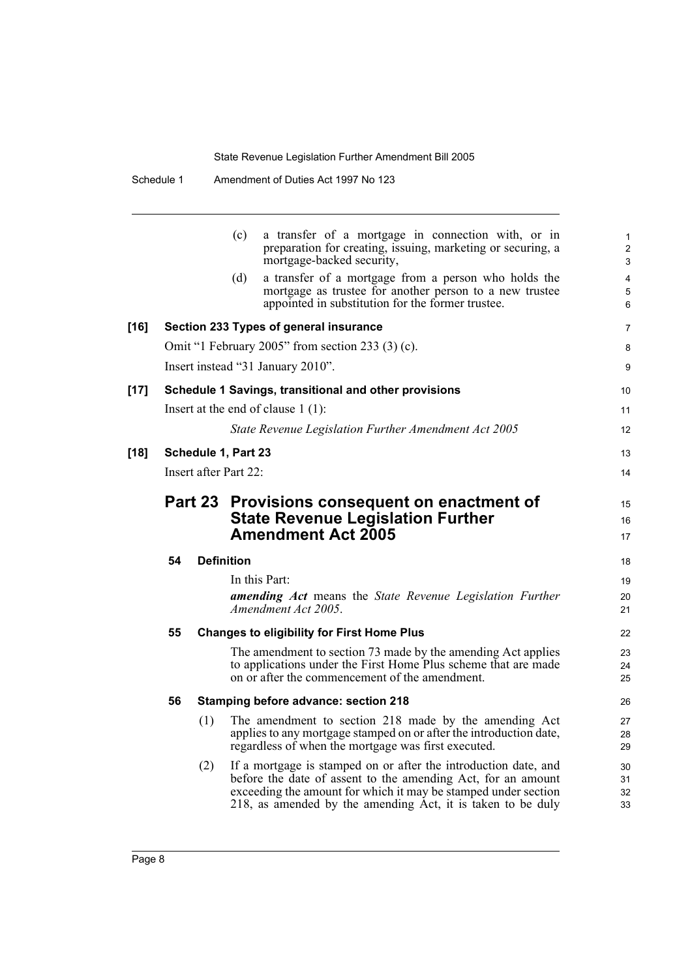|      |    | (c)                   | a transfer of a mortgage in connection with, or in<br>preparation for creating, issuing, marketing or securing, a<br>mortgage-backed security,                                                                                                                   | $\mathbf{1}$<br>$\overline{2}$<br>3 |
|------|----|-----------------------|------------------------------------------------------------------------------------------------------------------------------------------------------------------------------------------------------------------------------------------------------------------|-------------------------------------|
|      |    | (d)                   | a transfer of a mortgage from a person who holds the<br>mortgage as trustee for another person to a new trustee<br>appointed in substitution for the former trustee.                                                                                             | 4<br>5<br>6                         |
| [16] |    |                       | Section 233 Types of general insurance                                                                                                                                                                                                                           | 7                                   |
|      |    |                       | Omit "1 February 2005" from section 233 (3) (c).                                                                                                                                                                                                                 | 8                                   |
|      |    |                       | Insert instead "31 January 2010".                                                                                                                                                                                                                                | 9                                   |
| [17] |    |                       | Schedule 1 Savings, transitional and other provisions                                                                                                                                                                                                            | 10                                  |
|      |    |                       | Insert at the end of clause $1(1)$ :                                                                                                                                                                                                                             | 11                                  |
|      |    |                       | State Revenue Legislation Further Amendment Act 2005                                                                                                                                                                                                             | 12                                  |
| [18] |    | Schedule 1, Part 23   |                                                                                                                                                                                                                                                                  | 13                                  |
|      |    | Insert after Part 22: |                                                                                                                                                                                                                                                                  | 14                                  |
|      |    |                       | Part 23 Provisions consequent on enactment of                                                                                                                                                                                                                    | 15                                  |
|      |    |                       | <b>State Revenue Legislation Further</b>                                                                                                                                                                                                                         | 16                                  |
|      |    |                       | <b>Amendment Act 2005</b>                                                                                                                                                                                                                                        | 17                                  |
|      | 54 | <b>Definition</b>     |                                                                                                                                                                                                                                                                  | 18                                  |
|      |    |                       | In this Part:                                                                                                                                                                                                                                                    | 19                                  |
|      |    |                       | <b>amending Act</b> means the State Revenue Legislation Further<br>Amendment Act 2005.                                                                                                                                                                           | 20<br>21                            |
|      | 55 |                       | <b>Changes to eligibility for First Home Plus</b>                                                                                                                                                                                                                | 22                                  |
|      |    |                       | The amendment to section 73 made by the amending Act applies<br>to applications under the First Home Plus scheme that are made<br>on or after the commencement of the amendment.                                                                                 | 23<br>24<br>25                      |
|      | 56 |                       | <b>Stamping before advance: section 218</b>                                                                                                                                                                                                                      | 26                                  |
|      |    | (1)                   | The amendment to section 218 made by the amending Act<br>applies to any mortgage stamped on or after the introduction date,<br>regardless of when the mortgage was first executed.                                                                               | 27<br>28<br>29                      |
|      |    | (2)                   | If a mortgage is stamped on or after the introduction date, and<br>before the date of assent to the amending Act, for an amount<br>exceeding the amount for which it may be stamped under section<br>218, as amended by the amending Act, it is taken to be duly | 30<br>31<br>32<br>33                |
|      |    |                       |                                                                                                                                                                                                                                                                  |                                     |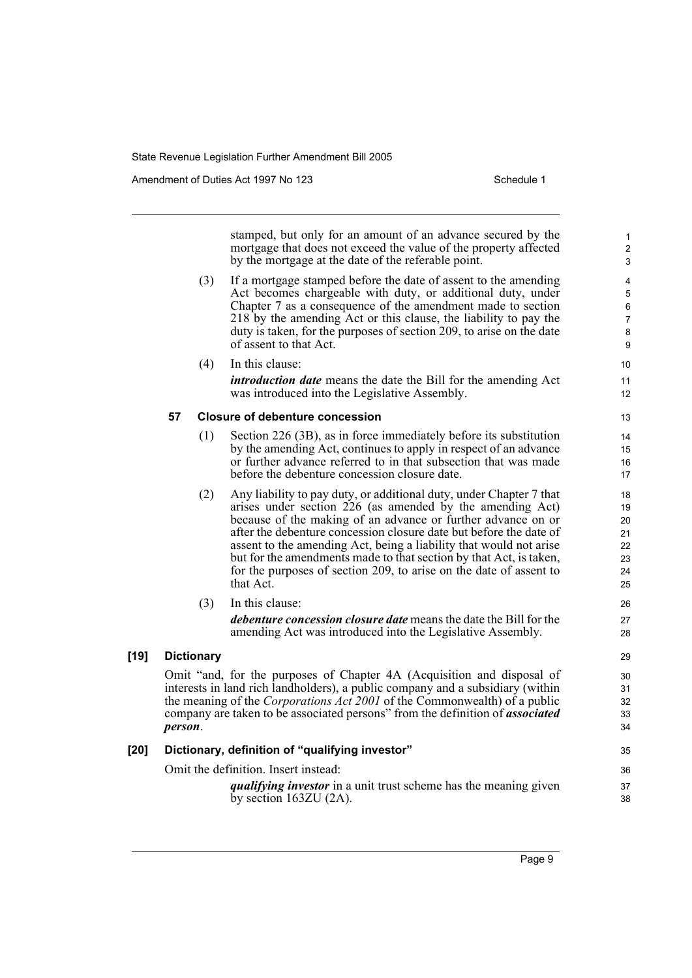Amendment of Duties Act 1997 No 123 Schedule 1

stamped, but only for an amount of an advance secured by the mortgage that does not exceed the value of the property affected by the mortgage at the date of the referable point. (3) If a mortgage stamped before the date of assent to the amending Act becomes chargeable with duty, or additional duty, under Chapter 7 as a consequence of the amendment made to section 218 by the amending Act or this clause, the liability to pay the duty is taken, for the purposes of section 209, to arise on the date of assent to that Act. (4) In this clause: *introduction date* means the date the Bill for the amending Act was introduced into the Legislative Assembly. **57 Closure of debenture concession** (1) Section 226 (3B), as in force immediately before its substitution by the amending Act, continues to apply in respect of an advance or further advance referred to in that subsection that was made before the debenture concession closure date. (2) Any liability to pay duty, or additional duty, under Chapter 7 that arises under section 226 (as amended by the amending Act) because of the making of an advance or further advance on or after the debenture concession closure date but before the date of assent to the amending Act, being a liability that would not arise but for the amendments made to that section by that Act, is taken, for the purposes of section 209, to arise on the date of assent to that Act. (3) In this clause: *debenture concession closure date* means the date the Bill for the amending Act was introduced into the Legislative Assembly. **[19] Dictionary** Omit "and, for the purposes of Chapter 4A (Acquisition and disposal of interests in land rich landholders), a public company and a subsidiary (within the meaning of the *Corporations Act 2001* of the Commonwealth) of a public company are taken to be associated persons" from the definition of *associated person*. **[20] Dictionary, definition of "qualifying investor"** Omit the definition. Insert instead: *qualifying investor* in a unit trust scheme has the meaning given by section 163ZU (2A). 10 11 12 13 14 15 16 17 18 19  $20$ 21  $22$ 23 24 25 26 27 28 29 30 31 32 33 34 35 36 37 38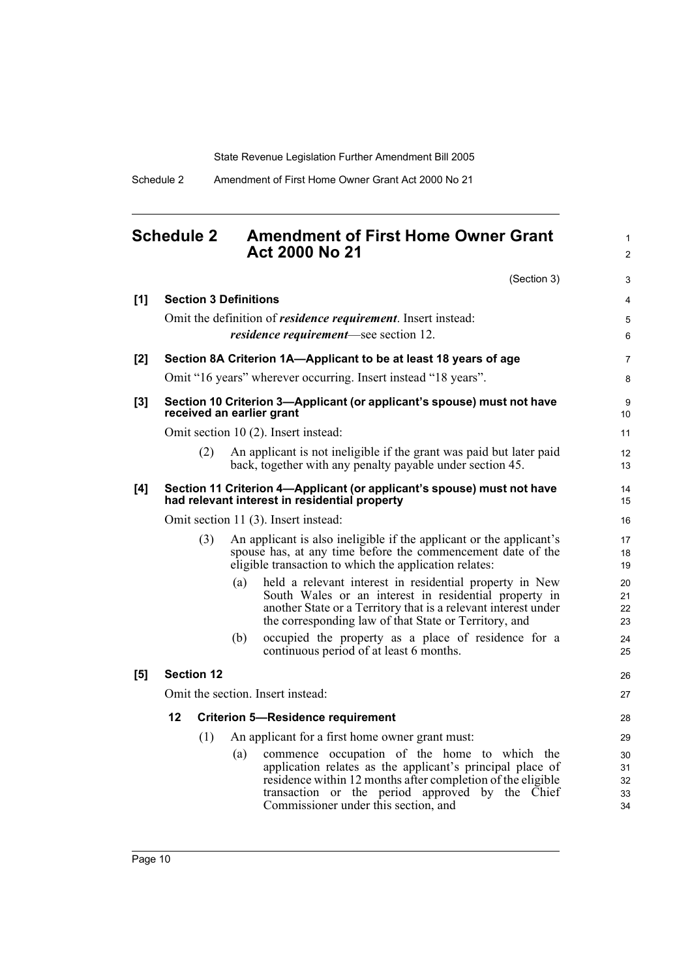# **Schedule 2 Amendment of First Home Owner Grant Act 2000 No 21**

(Section 3)

1 2

3

| [1]   |     | <b>Section 3 Definitions</b>             |     |                                                                                                                                                                                                                                                                     | 4                          |
|-------|-----|------------------------------------------|-----|---------------------------------------------------------------------------------------------------------------------------------------------------------------------------------------------------------------------------------------------------------------------|----------------------------|
|       |     |                                          |     | Omit the definition of <i>residence requirement</i> . Insert instead:                                                                                                                                                                                               | 5                          |
|       |     |                                          |     | <i>residence requirement</i> —see section 12.                                                                                                                                                                                                                       | 6                          |
| [2]   |     |                                          |     | Section 8A Criterion 1A-Applicant to be at least 18 years of age                                                                                                                                                                                                    | $\overline{7}$             |
|       |     |                                          |     | Omit "16 years" wherever occurring. Insert instead "18 years".                                                                                                                                                                                                      | 8                          |
| $[3]$ |     |                                          |     | Section 10 Criterion 3-Applicant (or applicant's spouse) must not have<br>received an earlier grant                                                                                                                                                                 | 9<br>10                    |
|       |     |                                          |     | Omit section 10 (2). Insert instead:                                                                                                                                                                                                                                | 11                         |
|       |     | (2)                                      |     | An applicant is not ineligible if the grant was paid but later paid<br>back, together with any penalty payable under section 45.                                                                                                                                    | 12<br>13                   |
| [4]   |     |                                          |     | Section 11 Criterion 4—Applicant (or applicant's spouse) must not have<br>had relevant interest in residential property                                                                                                                                             | 14<br>15                   |
|       |     |                                          |     | Omit section 11 (3). Insert instead:                                                                                                                                                                                                                                | 16                         |
|       | (3) |                                          |     | An applicant is also ineligible if the applicant or the applicant's<br>spouse has, at any time before the commencement date of the<br>eligible transaction to which the application relates:                                                                        | 17<br>18<br>19             |
|       |     |                                          | (a) | held a relevant interest in residential property in New<br>South Wales or an interest in residential property in<br>another State or a Territory that is a relevant interest under<br>the corresponding law of that State or Territory, and                         | 20<br>21<br>22<br>23       |
|       |     |                                          | (b) | occupied the property as a place of residence for a<br>continuous period of at least 6 months.                                                                                                                                                                      | 24<br>25                   |
| [5]   |     | <b>Section 12</b>                        |     |                                                                                                                                                                                                                                                                     | 26                         |
|       |     |                                          |     | Omit the section. Insert instead:                                                                                                                                                                                                                                   | 27                         |
|       | 12  | <b>Criterion 5-Residence requirement</b> |     |                                                                                                                                                                                                                                                                     | 28                         |
|       |     | (1)                                      |     | An applicant for a first home owner grant must:                                                                                                                                                                                                                     | 29                         |
|       |     |                                          | (a) | commence occupation of the home to which the<br>application relates as the applicant's principal place of<br>residence within 12 months after completion of the eligible<br>transaction or the period approved by the Chief<br>Commissioner under this section, and | 30<br>31<br>32<br>33<br>34 |
|       |     |                                          |     |                                                                                                                                                                                                                                                                     |                            |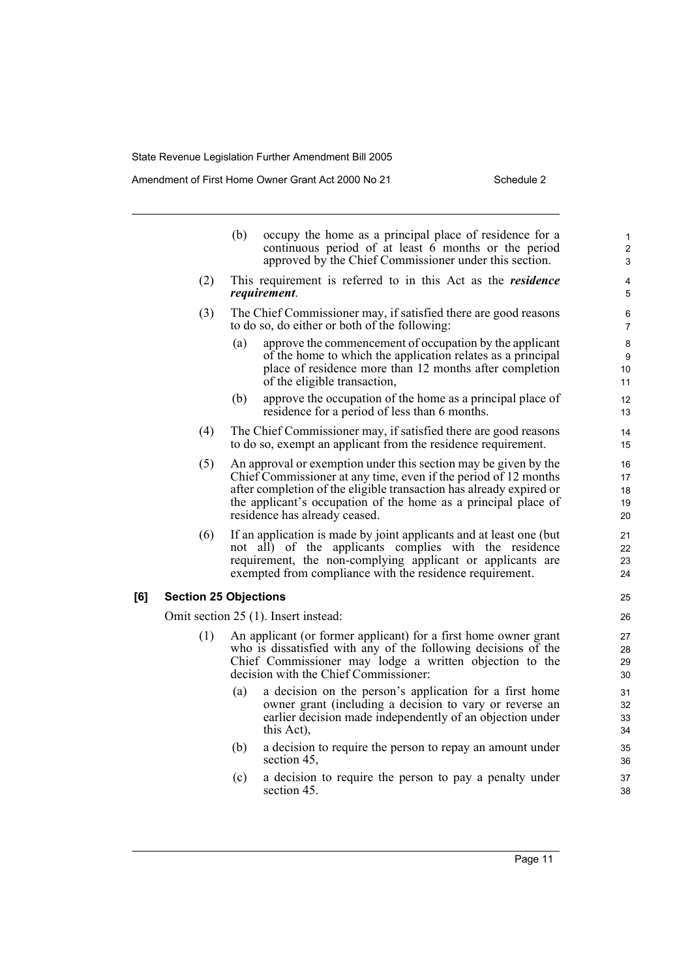## Amendment of First Home Owner Grant Act 2000 No 21 Schedule 2

|     |                              | (b)<br>occupy the home as a principal place of residence for a<br>continuous period of at least 6 months or the period<br>approved by the Chief Commissioner under this section.                                                                                                                             | $\mathbf{1}$<br>$\overline{2}$<br>3 |
|-----|------------------------------|--------------------------------------------------------------------------------------------------------------------------------------------------------------------------------------------------------------------------------------------------------------------------------------------------------------|-------------------------------------|
|     | (2)                          | This requirement is referred to in this Act as the <i>residence</i><br>requirement.                                                                                                                                                                                                                          | 4<br>5                              |
|     | (3)                          | The Chief Commissioner may, if satisfied there are good reasons<br>to do so, do either or both of the following:                                                                                                                                                                                             | 6<br>7                              |
|     |                              | approve the commencement of occupation by the applicant<br>(a)<br>of the home to which the application relates as a principal<br>place of residence more than 12 months after completion<br>of the eligible transaction,                                                                                     | 8<br>9<br>10<br>11                  |
|     |                              | (b)<br>approve the occupation of the home as a principal place of<br>residence for a period of less than 6 months.                                                                                                                                                                                           | 12<br>13                            |
|     | (4)                          | The Chief Commissioner may, if satisfied there are good reasons<br>to do so, exempt an applicant from the residence requirement.                                                                                                                                                                             | 14<br>15                            |
|     | (5)                          | An approval or exemption under this section may be given by the<br>Chief Commissioner at any time, even if the period of 12 months<br>after completion of the eligible transaction has already expired or<br>the applicant's occupation of the home as a principal place of<br>residence has already ceased. | 16<br>17<br>18<br>19<br>20          |
|     | (6)                          | If an application is made by joint applicants and at least one (but<br>not all) of the applicants complies with the residence<br>requirement, the non-complying applicant or applicants are<br>exempted from compliance with the residence requirement.                                                      | 21<br>22<br>23<br>24                |
| [6] | <b>Section 25 Objections</b> |                                                                                                                                                                                                                                                                                                              | 25                                  |
|     |                              | Omit section 25 (1). Insert instead:                                                                                                                                                                                                                                                                         | 26                                  |
|     | (1)                          | An applicant (or former applicant) for a first home owner grant<br>who is dissatisfied with any of the following decisions of the<br>Chief Commissioner may lodge a written objection to the<br>decision with the Chief Commissioner:                                                                        | 27<br>28<br>29<br>30                |
|     |                              | (a)<br>a decision on the person's application for a first home<br>owner grant (including a decision to vary or reverse an<br>earlier decision made independently of an objection under<br>this Act).                                                                                                         | 31<br>32<br>33<br>34                |
|     |                              | a decision to require the person to repay an amount under<br>(b)<br>section 45,                                                                                                                                                                                                                              | 35<br>36                            |
|     |                              | (c)<br>a decision to require the person to pay a penalty under<br>section 45.                                                                                                                                                                                                                                | 37<br>38                            |
|     |                              |                                                                                                                                                                                                                                                                                                              |                                     |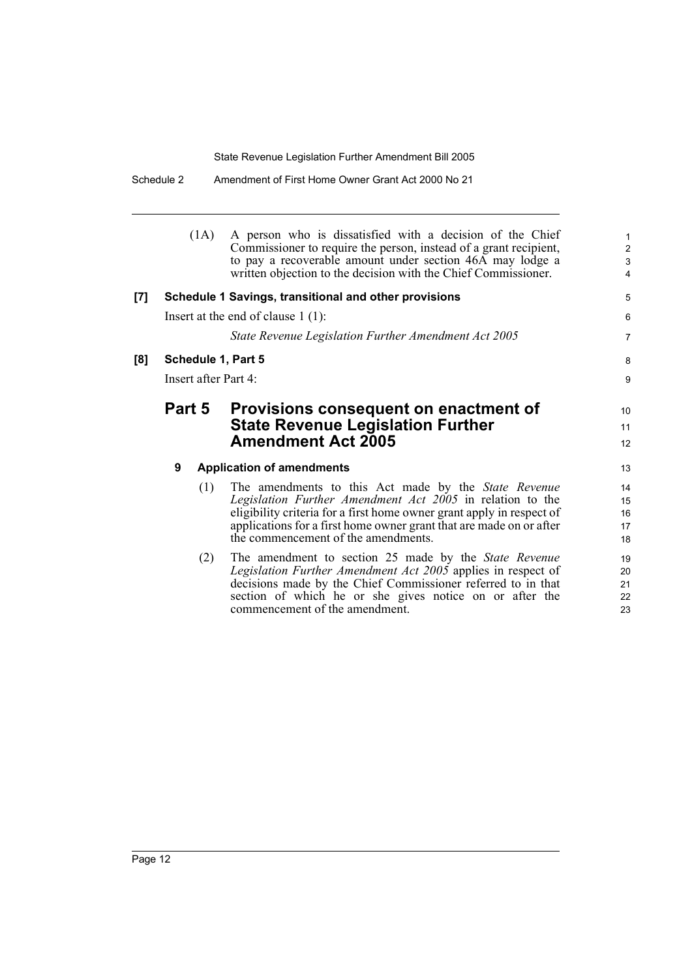Schedule 2 Amendment of First Home Owner Grant Act 2000 No 21

|     |                                                       | (1A) | A person who is dissatisfied with a decision of the Chief<br>Commissioner to require the person, instead of a grant recipient,<br>to pay a recoverable amount under section 46A may lodge a<br>written objection to the decision with the Chief Commissioner.                                            | 1<br>$\overline{\mathbf{c}}$<br>3<br>4 |  |  |  |  |
|-----|-------------------------------------------------------|------|----------------------------------------------------------------------------------------------------------------------------------------------------------------------------------------------------------------------------------------------------------------------------------------------------------|----------------------------------------|--|--|--|--|
| [7] | Schedule 1 Savings, transitional and other provisions |      |                                                                                                                                                                                                                                                                                                          |                                        |  |  |  |  |
|     |                                                       |      | Insert at the end of clause $1(1)$ :                                                                                                                                                                                                                                                                     | 6                                      |  |  |  |  |
|     |                                                       |      | State Revenue Legislation Further Amendment Act 2005                                                                                                                                                                                                                                                     | 7                                      |  |  |  |  |
| [8] |                                                       |      | Schedule 1, Part 5                                                                                                                                                                                                                                                                                       | 8                                      |  |  |  |  |
|     |                                                       |      | Insert after Part 4:                                                                                                                                                                                                                                                                                     | 9                                      |  |  |  |  |
|     | Part 5                                                |      | Provisions consequent on enactment of<br><b>State Revenue Legislation Further</b><br><b>Amendment Act 2005</b>                                                                                                                                                                                           | 10<br>11<br>12                         |  |  |  |  |
|     | 9                                                     |      | <b>Application of amendments</b>                                                                                                                                                                                                                                                                         | 13                                     |  |  |  |  |
|     |                                                       | (1)  | The amendments to this Act made by the State Revenue<br>Legislation Further Amendment Act 2005 in relation to the<br>eligibility criteria for a first home owner grant apply in respect of<br>applications for a first home owner grant that are made on or after<br>the commencement of the amendments. | 14<br>15<br>16<br>17<br>18             |  |  |  |  |
|     |                                                       | (2)  | The amendment to section 25 made by the <i>State Revenue</i><br>Legislation Further Amendment Act 2005 applies in respect of<br>decisions made by the Chief Commissioner referred to in that<br>section of which he or she gives notice on or after the<br>commencement of the amendment.                | 19<br>20<br>21<br>22<br>23             |  |  |  |  |
|     |                                                       |      |                                                                                                                                                                                                                                                                                                          |                                        |  |  |  |  |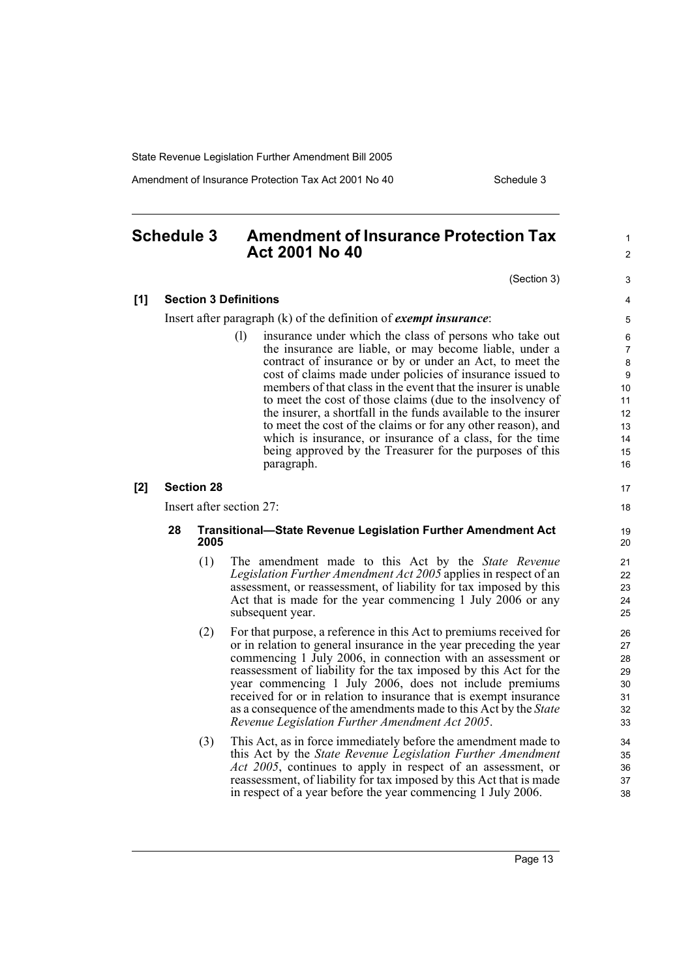Amendment of Insurance Protection Tax Act 2001 No 40 Schedule 3

**Schedule 3 Amendment of Insurance Protection Tax Act 2001 No 40**

(Section 3)

#### **[1] Section 3 Definitions**

Insert after paragraph (k) of the definition of *exempt insurance*:

(l) insurance under which the class of persons who take out the insurance are liable, or may become liable, under a contract of insurance or by or under an Act, to meet the cost of claims made under policies of insurance issued to members of that class in the event that the insurer is unable to meet the cost of those claims (due to the insolvency of the insurer, a shortfall in the funds available to the insurer to meet the cost of the claims or for any other reason), and which is insurance, or insurance of a class, for the time being approved by the Treasurer for the purposes of this paragraph.

#### **[2] Section 28**

Insert after section 27:

#### **28 Transitional—State Revenue Legislation Further Amendment Act 2005**

- (1) The amendment made to this Act by the *State Revenue Legislation Further Amendment Act 2005* applies in respect of an assessment, or reassessment, of liability for tax imposed by this Act that is made for the year commencing 1 July 2006 or any subsequent year.
- (2) For that purpose, a reference in this Act to premiums received for or in relation to general insurance in the year preceding the year commencing 1 July 2006, in connection with an assessment or reassessment of liability for the tax imposed by this Act for the year commencing 1 July 2006, does not include premiums received for or in relation to insurance that is exempt insurance as a consequence of the amendments made to this Act by the *State Revenue Legislation Further Amendment Act 2005*.
- (3) This Act, as in force immediately before the amendment made to this Act by the *State Revenue Legislation Further Amendment Act 2005*, continues to apply in respect of an assessment, or reassessment, of liability for tax imposed by this Act that is made in respect of a year before the year commencing 1 July 2006.

17

1  $\overline{2}$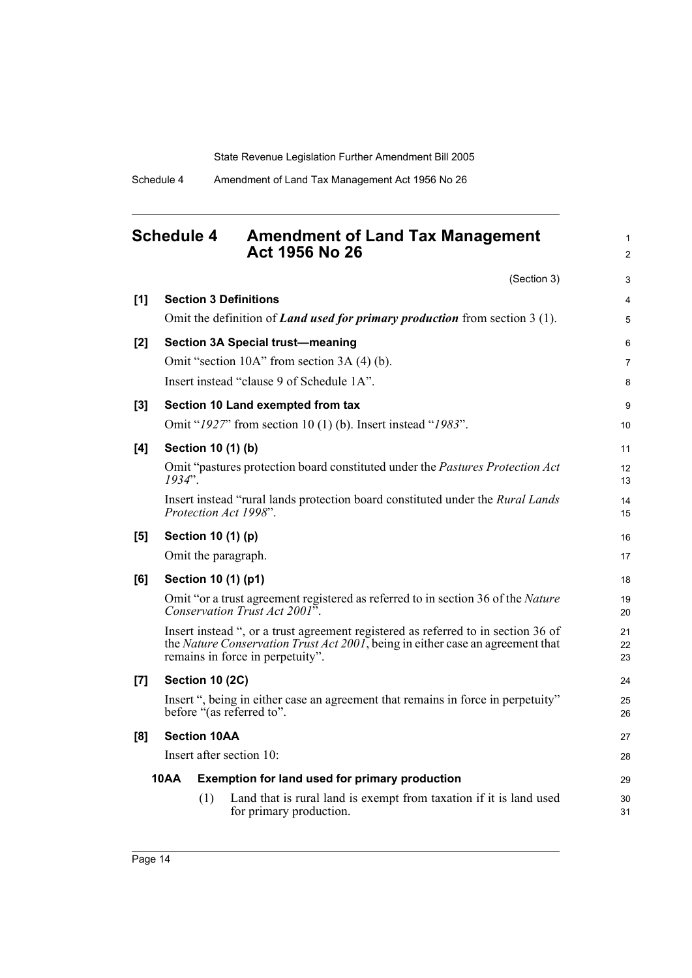## **Schedule 4 Amendment of Land Tax Management Act 1956 No 26**

1 2

|       |                        | (Section 3)                                                                                                                                                                                             | 3              |
|-------|------------------------|---------------------------------------------------------------------------------------------------------------------------------------------------------------------------------------------------------|----------------|
| [1]   |                        | <b>Section 3 Definitions</b>                                                                                                                                                                            | 4              |
|       |                        | Omit the definition of <i>Land used for primary production</i> from section 3 (1).                                                                                                                      | 5              |
| [2]   |                        | <b>Section 3A Special trust-meaning</b>                                                                                                                                                                 | 6              |
|       |                        | Omit "section 10A" from section 3A (4) (b).                                                                                                                                                             | $\overline{7}$ |
|       |                        | Insert instead "clause 9 of Schedule 1A".                                                                                                                                                               | 8              |
| [3]   |                        | Section 10 Land exempted from tax                                                                                                                                                                       | 9              |
|       |                        | Omit "1927" from section 10 (1) (b). Insert instead "1983".                                                                                                                                             | 10             |
| [4]   |                        | Section 10 (1) (b)                                                                                                                                                                                      | 11             |
|       | $1934$ ".              | Omit "pastures protection board constituted under the Pastures Protection Act                                                                                                                           | 12<br>13       |
|       |                        | Insert instead "rural lands protection board constituted under the Rural Lands<br>Protection Act 1998".                                                                                                 | 14<br>15       |
| [5]   |                        | Section 10 (1) (p)                                                                                                                                                                                      | 16             |
|       |                        | Omit the paragraph.                                                                                                                                                                                     | 17             |
| [6]   |                        | Section 10 (1) (p1)                                                                                                                                                                                     | 18             |
|       |                        | Omit "or a trust agreement registered as referred to in section 36 of the Nature<br>Conservation Trust Act 2001".                                                                                       | 19<br>20       |
|       |                        | Insert instead ", or a trust agreement registered as referred to in section 36 of<br>the Nature Conservation Trust Act 2001, being in either case an agreement that<br>remains in force in perpetuity". | 21<br>22<br>23 |
| $[7]$ | <b>Section 10 (2C)</b> |                                                                                                                                                                                                         | 24             |
|       |                        | Insert ", being in either case an agreement that remains in force in perpetuity"<br>before "(as referred to".                                                                                           | 25<br>26       |
| [8]   | <b>Section 10AA</b>    |                                                                                                                                                                                                         | 27             |
|       |                        | Insert after section 10:                                                                                                                                                                                | 28             |
|       | 10AA                   | <b>Exemption for land used for primary production</b>                                                                                                                                                   | 29             |
|       | (1)                    | Land that is rural land is exempt from taxation if it is land used<br>for primary production.                                                                                                           | 30<br>31       |
|       |                        |                                                                                                                                                                                                         |                |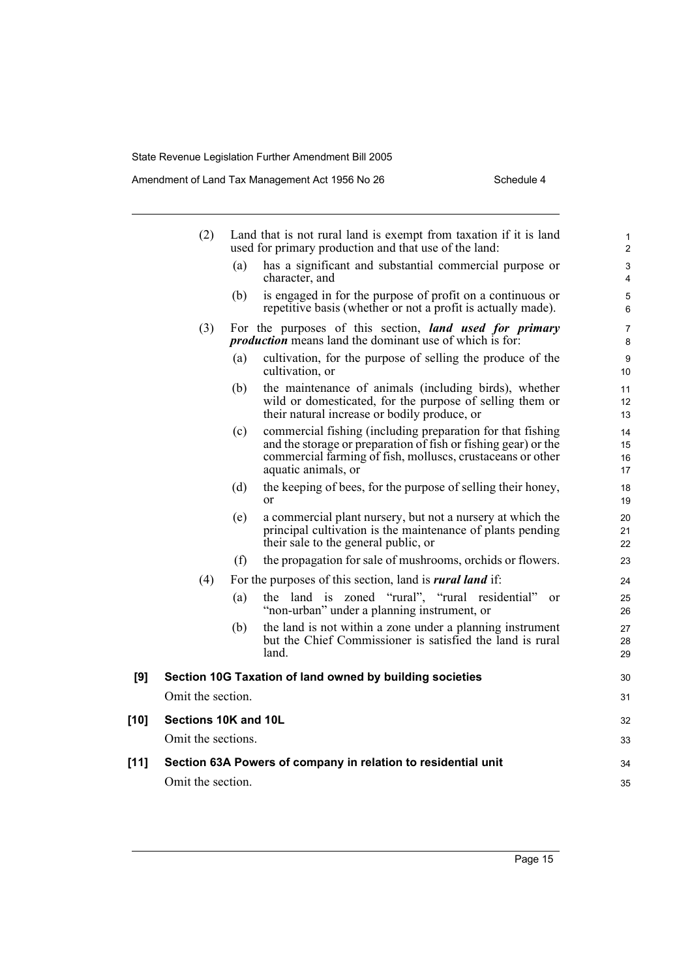**[10]** 

|        | (2)                  |     | Land that is not rural land is exempt from taxation if it is land<br>used for primary production and that use of the land:                                                                                        | $\mathbf{1}$<br>$\overline{2}$ |
|--------|----------------------|-----|-------------------------------------------------------------------------------------------------------------------------------------------------------------------------------------------------------------------|--------------------------------|
|        |                      | (a) | has a significant and substantial commercial purpose or<br>character, and                                                                                                                                         | 3<br>$\overline{4}$            |
|        |                      | (b) | is engaged in for the purpose of profit on a continuous or<br>repetitive basis (whether or not a profit is actually made).                                                                                        | 5<br>6                         |
|        | (3)                  |     | For the purposes of this section, land used for primary<br><i>production</i> means land the dominant use of which is for:                                                                                         | $\overline{7}$<br>8            |
|        |                      | (a) | cultivation, for the purpose of selling the produce of the<br>cultivation, or                                                                                                                                     | 9<br>10                        |
|        |                      | (b) | the maintenance of animals (including birds), whether<br>wild or domesticated, for the purpose of selling them or<br>their natural increase or bodily produce, or                                                 | 11<br>12 <sup>2</sup><br>13    |
|        |                      | (c) | commercial fishing (including preparation for that fishing<br>and the storage or preparation of fish or fishing gear) or the<br>commercial farming of fish, molluscs, crustaceans or other<br>aquatic animals, or | 14<br>15<br>16<br>17           |
|        |                      | (d) | the keeping of bees, for the purpose of selling their honey,<br><sub>or</sub>                                                                                                                                     | 18<br>19                       |
|        |                      | (e) | a commercial plant nursery, but not a nursery at which the<br>principal cultivation is the maintenance of plants pending<br>their sale to the general public, or                                                  | 20<br>21<br>22                 |
|        |                      | (f) | the propagation for sale of mushrooms, orchids or flowers.                                                                                                                                                        | 23                             |
|        | (4)                  |     | For the purposes of this section, land is <i>rural land</i> if:                                                                                                                                                   | 24                             |
|        |                      | (a) | the land is zoned "rural", "rural residential"<br>$\alpha$<br>"non-urban" under a planning instrument, or                                                                                                         | 25<br>26                       |
|        |                      | (b) | the land is not within a zone under a planning instrument<br>but the Chief Commissioner is satisfied the land is rural<br>land.                                                                                   | 27<br>28<br>29                 |
| [9]    |                      |     | Section 10G Taxation of land owned by building societies                                                                                                                                                          | 30                             |
|        | Omit the section.    |     |                                                                                                                                                                                                                   | 31                             |
| $[10]$ | Sections 10K and 10L |     |                                                                                                                                                                                                                   | 32                             |
|        | Omit the sections.   |     |                                                                                                                                                                                                                   | 33                             |
| $[11]$ |                      |     | Section 63A Powers of company in relation to residential unit                                                                                                                                                     | 34                             |
|        | Omit the section.    |     |                                                                                                                                                                                                                   | 35                             |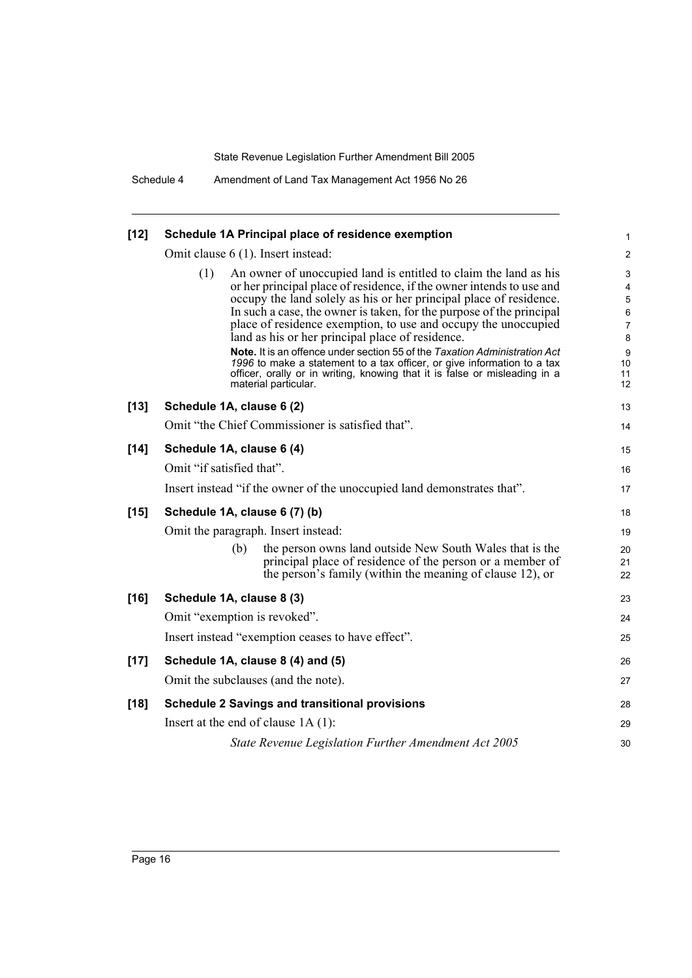| $[12]$ | Schedule 1A Principal place of residence exemption                                                                                                                                                                                                                                                                                                                                                                                                                                                                                                                                                                                                         |                                             |  |  |
|--------|------------------------------------------------------------------------------------------------------------------------------------------------------------------------------------------------------------------------------------------------------------------------------------------------------------------------------------------------------------------------------------------------------------------------------------------------------------------------------------------------------------------------------------------------------------------------------------------------------------------------------------------------------------|---------------------------------------------|--|--|
|        | Omit clause 6 (1). Insert instead:                                                                                                                                                                                                                                                                                                                                                                                                                                                                                                                                                                                                                         | $\overline{c}$                              |  |  |
|        | An owner of unoccupied land is entitled to claim the land as his<br>(1)<br>or her principal place of residence, if the owner intends to use and<br>occupy the land solely as his or her principal place of residence.<br>In such a case, the owner is taken, for the purpose of the principal<br>place of residence exemption, to use and occupy the unoccupied<br>land as his or her principal place of residence.<br>Note. It is an offence under section 55 of the Taxation Administration Act<br>1996 to make a statement to a tax officer, or give information to a tax<br>officer, orally or in writing, knowing that it is false or misleading in a | 3<br>4<br>5<br>6<br>7<br>8<br>9<br>10<br>11 |  |  |
|        | material particular.                                                                                                                                                                                                                                                                                                                                                                                                                                                                                                                                                                                                                                       | 12                                          |  |  |
| $[13]$ | Schedule 1A, clause 6 (2)                                                                                                                                                                                                                                                                                                                                                                                                                                                                                                                                                                                                                                  | 13                                          |  |  |
|        | Omit "the Chief Commissioner is satisfied that".                                                                                                                                                                                                                                                                                                                                                                                                                                                                                                                                                                                                           | 14                                          |  |  |
| $[14]$ | Schedule 1A, clause 6 (4)                                                                                                                                                                                                                                                                                                                                                                                                                                                                                                                                                                                                                                  | 15                                          |  |  |
|        | Omit "if satisfied that".                                                                                                                                                                                                                                                                                                                                                                                                                                                                                                                                                                                                                                  | 16                                          |  |  |
|        | Insert instead "if the owner of the unoccupied land demonstrates that".                                                                                                                                                                                                                                                                                                                                                                                                                                                                                                                                                                                    | 17                                          |  |  |
| $[15]$ | Schedule 1A, clause 6 (7) (b)                                                                                                                                                                                                                                                                                                                                                                                                                                                                                                                                                                                                                              | 18                                          |  |  |
|        | Omit the paragraph. Insert instead:                                                                                                                                                                                                                                                                                                                                                                                                                                                                                                                                                                                                                        | 19                                          |  |  |
|        | (b)<br>the person owns land outside New South Wales that is the<br>principal place of residence of the person or a member of<br>the person's family (within the meaning of clause 12), or                                                                                                                                                                                                                                                                                                                                                                                                                                                                  | 20<br>21<br>22                              |  |  |
| $[16]$ | Schedule 1A, clause 8 (3)                                                                                                                                                                                                                                                                                                                                                                                                                                                                                                                                                                                                                                  | 23                                          |  |  |
|        | Omit "exemption is revoked".                                                                                                                                                                                                                                                                                                                                                                                                                                                                                                                                                                                                                               | 24                                          |  |  |
|        | Insert instead "exemption ceases to have effect".                                                                                                                                                                                                                                                                                                                                                                                                                                                                                                                                                                                                          | 25                                          |  |  |
| $[17]$ | Schedule 1A, clause 8 (4) and (5)                                                                                                                                                                                                                                                                                                                                                                                                                                                                                                                                                                                                                          | 26                                          |  |  |
|        | Omit the subclauses (and the note).                                                                                                                                                                                                                                                                                                                                                                                                                                                                                                                                                                                                                        | 27                                          |  |  |
| $[18]$ | <b>Schedule 2 Savings and transitional provisions</b>                                                                                                                                                                                                                                                                                                                                                                                                                                                                                                                                                                                                      | 28                                          |  |  |
|        | Insert at the end of clause $1A(1)$ :                                                                                                                                                                                                                                                                                                                                                                                                                                                                                                                                                                                                                      | 29                                          |  |  |
|        | State Revenue Legislation Further Amendment Act 2005                                                                                                                                                                                                                                                                                                                                                                                                                                                                                                                                                                                                       | 30                                          |  |  |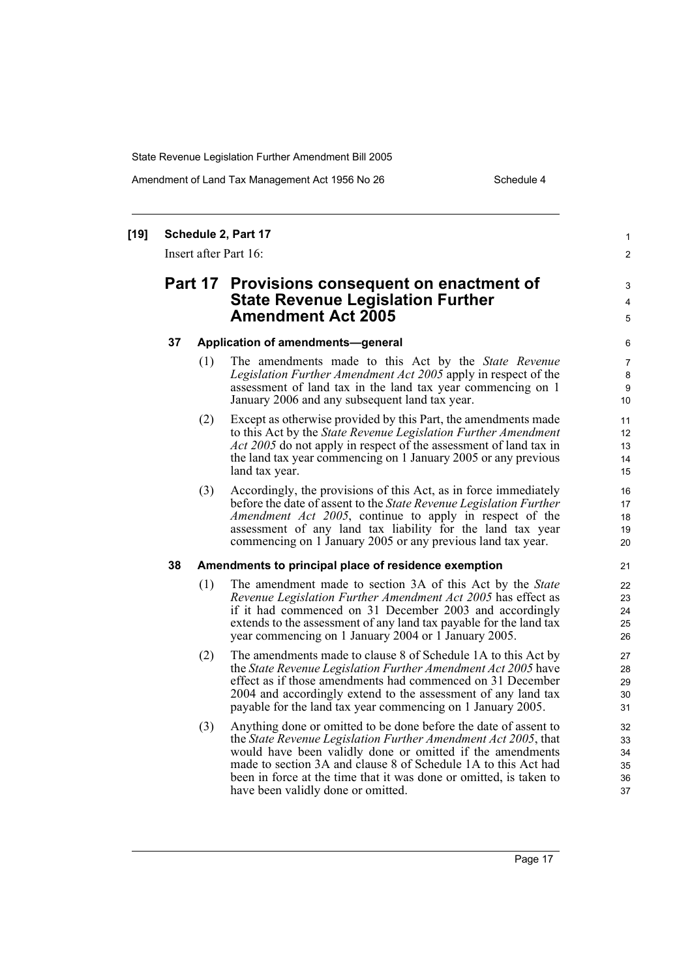Amendment of Land Tax Management Act 1956 No 26 Schedule 4

#### **[19] Schedule 2, Part 17** Insert after Part 16: **Part 17 Provisions consequent on enactment of State Revenue Legislation Further Amendment Act 2005 37 Application of amendments—general** (1) The amendments made to this Act by the *State Revenue Legislation Further Amendment Act 2005* apply in respect of the assessment of land tax in the land tax year commencing on 1 January 2006 and any subsequent land tax year. (2) Except as otherwise provided by this Part, the amendments made to this Act by the *State Revenue Legislation Further Amendment Act 2005* do not apply in respect of the assessment of land tax in the land tax year commencing on 1 January 2005 or any previous land tax year. (3) Accordingly, the provisions of this Act, as in force immediately before the date of assent to the *State Revenue Legislation Further Amendment Act 2005*, continue to apply in respect of the assessment of any land tax liability for the land tax year commencing on 1 January 2005 or any previous land tax year. **38 Amendments to principal place of residence exemption** (1) The amendment made to section 3A of this Act by the *State Revenue Legislation Further Amendment Act 2005* has effect as if it had commenced on 31 December 2003 and accordingly extends to the assessment of any land tax payable for the land tax year commencing on 1 January 2004 or 1 January 2005. (2) The amendments made to clause 8 of Schedule 1A to this Act by the *State Revenue Legislation Further Amendment Act 2005* have effect as if those amendments had commenced on 31 December 2004 and accordingly extend to the assessment of any land tax payable for the land tax year commencing on 1 January 2005. (3) Anything done or omitted to be done before the date of assent to the *State Revenue Legislation Further Amendment Act 2005*, that would have been validly done or omitted if the amendments made to section 3A and clause 8 of Schedule 1A to this Act had been in force at the time that it was done or omitted, is taken to have been validly done or omitted. 1  $\mathfrak{p}$ 3 4 5 6 7 8 9 10 11 12 13 14 15 16 17 18 19 20 21 22 23 24 25 26 27 28 29 30 31 32 33 34 35 36 37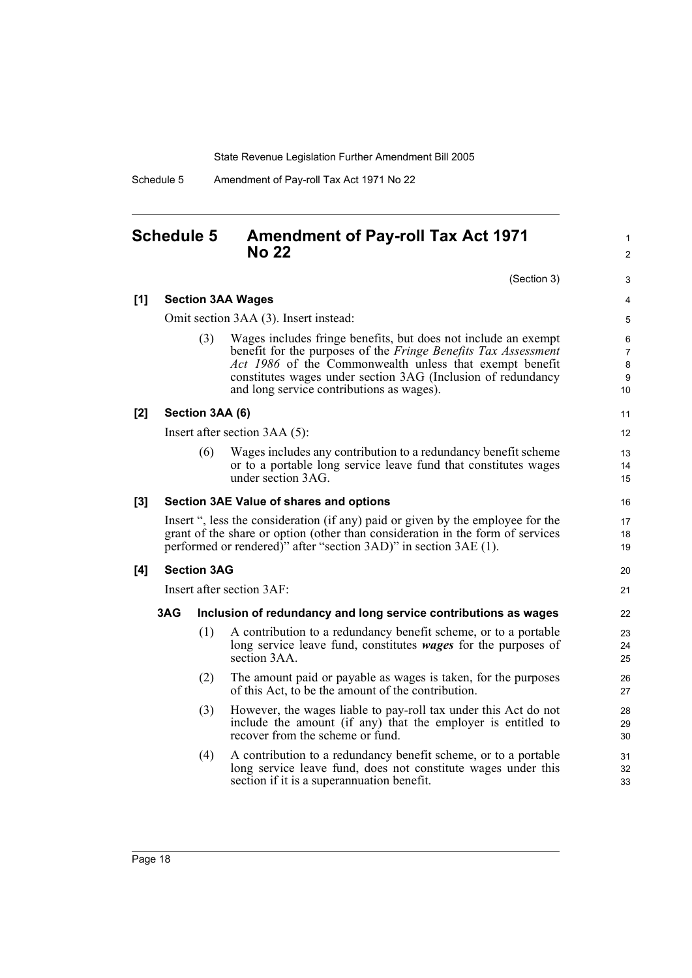Schedule 5 Amendment of Pay-roll Tax Act 1971 No 22

# **Schedule 5 Amendment of Pay-roll Tax Act 1971 No 22**

1

(Section 3) **[1] Section 3AA Wages** Omit section 3AA (3). Insert instead: (3) Wages includes fringe benefits, but does not include an exempt benefit for the purposes of the *Fringe Benefits Tax Assessment Act 1986* of the Commonwealth unless that exempt benefit constitutes wages under section 3AG (Inclusion of redundancy and long service contributions as wages). **[2] Section 3AA (6)** Insert after section 3AA (5): Wages includes any contribution to a redundancy benefit scheme or to a portable long service leave fund that constitutes wages under section 3AG. **[3] Section 3AE Value of shares and options** Insert ", less the consideration (if any) paid or given by the employee for the grant of the share or option (other than consideration in the form of services performed or rendered)" after "section 3AD)" in section 3AE (1). **[4] Section 3AG** Insert after section 3AF: **3AG Inclusion of redundancy and long service contributions as wages** (1) A contribution to a redundancy benefit scheme, or to a portable long service leave fund, constitutes *wages* for the purposes of section 3AA. (2) The amount paid or payable as wages is taken, for the purposes of this Act, to be the amount of the contribution. (3) However, the wages liable to pay-roll tax under this Act do not include the amount (if any) that the employer is entitled to recover from the scheme or fund. (4) A contribution to a redundancy benefit scheme, or to a portable long service leave fund, does not constitute wages under this section if it is a superannuation benefit.  $\mathfrak{p}$ 3 4 5 6 7 8 9 10 11 12 13 14 15 16 17 18 19 20 21 22 23 24 25 26 27 28 29 30 31 32 33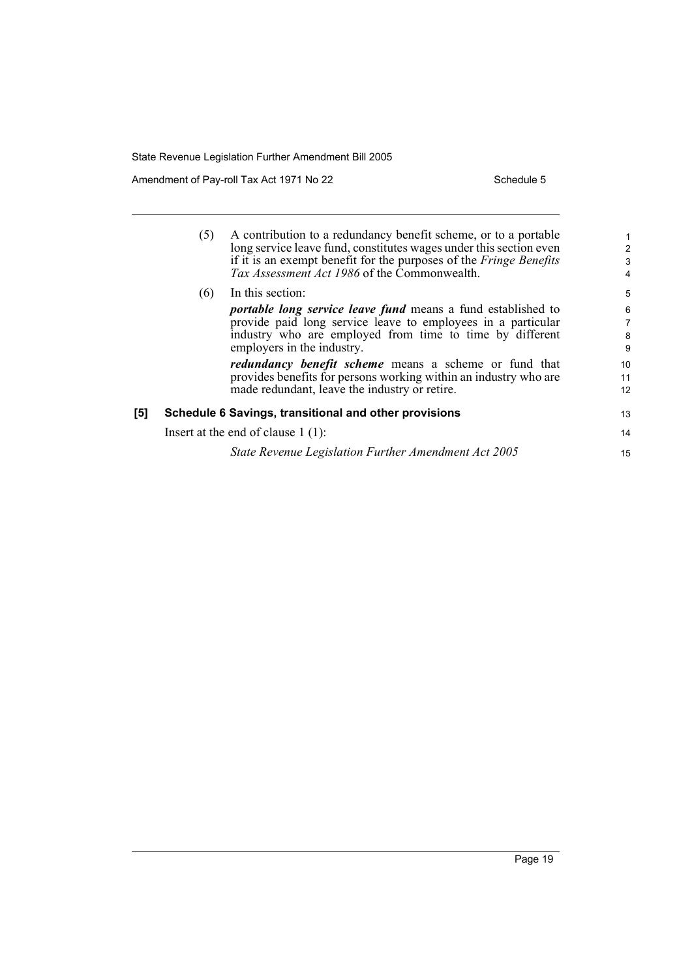Amendment of Pay-roll Tax Act 1971 No 22 Schedule 5

|     | (5) | A contribution to a redundancy benefit scheme, or to a portable<br>long service leave fund, constitutes wages under this section even<br>if it is an exempt benefit for the purposes of the <i>Fringe Benefits</i><br>Tax Assessment Act 1986 of the Commonwealth. | 1<br>2<br>3<br>4    |
|-----|-----|--------------------------------------------------------------------------------------------------------------------------------------------------------------------------------------------------------------------------------------------------------------------|---------------------|
|     | (6) | In this section:                                                                                                                                                                                                                                                   | 5                   |
|     |     | <i>portable long service leave fund</i> means a fund established to<br>provide paid long service leave to employees in a particular                                                                                                                                | 6<br>$\overline{7}$ |
|     |     | industry who are employed from time to time by different<br>employers in the industry.                                                                                                                                                                             | 8<br>9              |
|     |     | <i>redundancy benefit scheme</i> means a scheme or fund that<br>provides benefits for persons working within an industry who are                                                                                                                                   | 10<br>11            |
|     |     | made redundant, leave the industry or retire.                                                                                                                                                                                                                      | 12                  |
| [5] |     | Schedule 6 Savings, transitional and other provisions                                                                                                                                                                                                              | 13                  |
|     |     | Insert at the end of clause $1(1)$ :                                                                                                                                                                                                                               | 14                  |
|     |     | State Revenue Legislation Further Amendment Act 2005                                                                                                                                                                                                               | 15                  |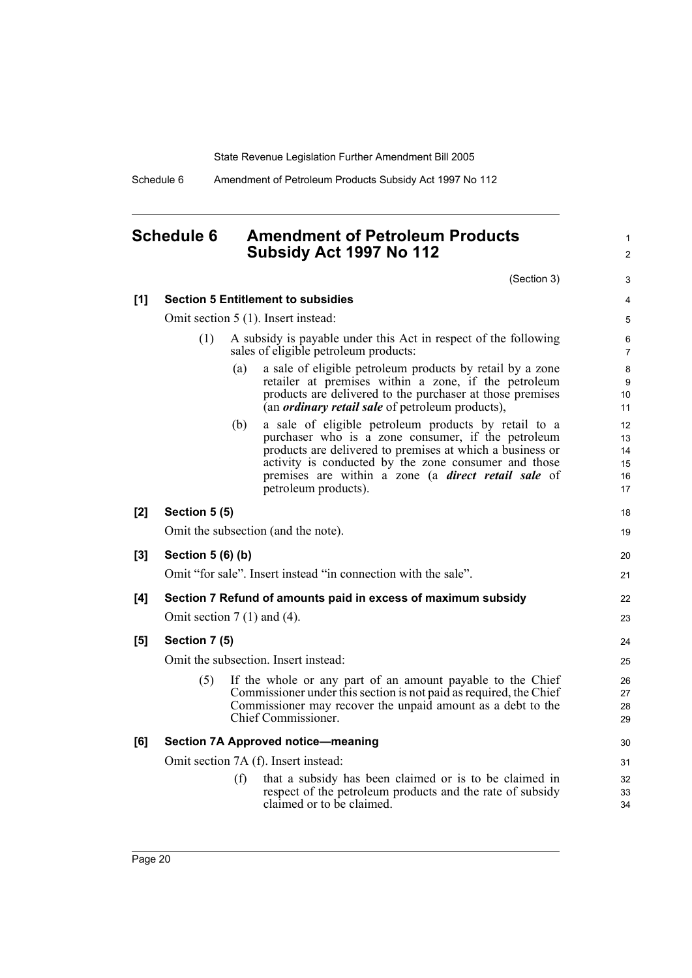1 2

Schedule 6 Amendment of Petroleum Products Subsidy Act 1997 No 112

# **Schedule 6 Amendment of Petroleum Products Subsidy Act 1997 No 112**

|     |                                                                                                                 |     | (Section 3)                                                                                                                                                                                                                                                                                                           | 3                                 |
|-----|-----------------------------------------------------------------------------------------------------------------|-----|-----------------------------------------------------------------------------------------------------------------------------------------------------------------------------------------------------------------------------------------------------------------------------------------------------------------------|-----------------------------------|
| [1] |                                                                                                                 |     | <b>Section 5 Entitlement to subsidies</b>                                                                                                                                                                                                                                                                             | 4                                 |
|     | Omit section 5 (1). Insert instead:                                                                             |     |                                                                                                                                                                                                                                                                                                                       |                                   |
|     | (1)<br>A subsidy is payable under this Act in respect of the following<br>sales of eligible petroleum products: |     |                                                                                                                                                                                                                                                                                                                       |                                   |
|     |                                                                                                                 | (a) | a sale of eligible petroleum products by retail by a zone<br>retailer at premises within a zone, if the petroleum<br>products are delivered to the purchaser at those premises<br>(an <i>ordinary retail sale</i> of petroleum products),                                                                             | 8<br>$\boldsymbol{9}$<br>10<br>11 |
|     |                                                                                                                 | (b) | a sale of eligible petroleum products by retail to a<br>purchaser who is a zone consumer, if the petroleum<br>products are delivered to premises at which a business or<br>activity is conducted by the zone consumer and those<br>premises are within a zone (a <i>direct retail sale</i> of<br>petroleum products). | 12<br>13<br>14<br>15<br>16<br>17  |
| [2] | Section 5 (5)                                                                                                   |     |                                                                                                                                                                                                                                                                                                                       | 18                                |
|     |                                                                                                                 |     | Omit the subsection (and the note).                                                                                                                                                                                                                                                                                   | 19                                |
| [3] | Section 5 (6) (b)                                                                                               |     |                                                                                                                                                                                                                                                                                                                       | 20                                |
|     |                                                                                                                 |     | Omit "for sale". Insert instead "in connection with the sale".                                                                                                                                                                                                                                                        | 21                                |
| [4] |                                                                                                                 |     | Section 7 Refund of amounts paid in excess of maximum subsidy                                                                                                                                                                                                                                                         | 22                                |
|     | Omit section $7(1)$ and $(4)$ .                                                                                 |     |                                                                                                                                                                                                                                                                                                                       | 23                                |
| [5] | Section 7 (5)                                                                                                   |     |                                                                                                                                                                                                                                                                                                                       | 24                                |
|     |                                                                                                                 |     | Omit the subsection. Insert instead:                                                                                                                                                                                                                                                                                  | 25                                |
|     | (5)                                                                                                             |     | If the whole or any part of an amount payable to the Chief<br>Commissioner under this section is not paid as required, the Chief<br>Commissioner may recover the unpaid amount as a debt to the<br>Chief Commissioner.                                                                                                | 26<br>27<br>28<br>29              |
| [6] |                                                                                                                 |     | <b>Section 7A Approved notice-meaning</b>                                                                                                                                                                                                                                                                             | 30                                |
|     |                                                                                                                 |     | Omit section 7A (f). Insert instead:                                                                                                                                                                                                                                                                                  | 31                                |
|     |                                                                                                                 | (f) | that a subsidy has been claimed or is to be claimed in<br>respect of the petroleum products and the rate of subsidy<br>claimed or to be claimed.                                                                                                                                                                      | 32<br>33<br>34                    |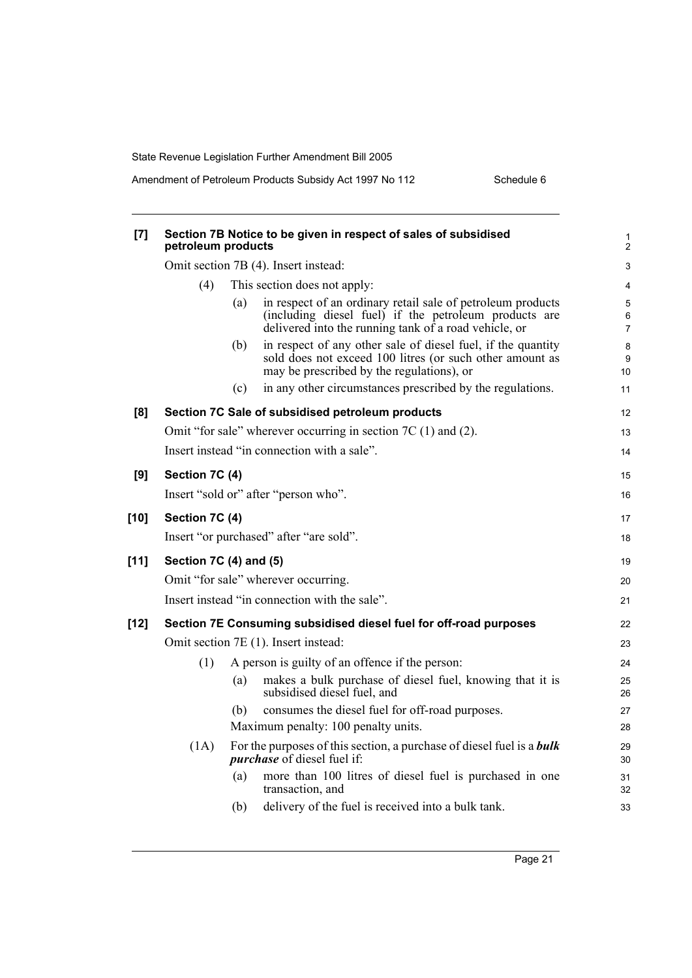| Section 7B Notice to be given in respect of sales of subsidised<br>petroleum products |     |                                                                                                                                                                               |                                                                                                                                                                                                                                                                                                                                                                                                                                                                                                                                                                                                                                                                                                                                                                                               |  |
|---------------------------------------------------------------------------------------|-----|-------------------------------------------------------------------------------------------------------------------------------------------------------------------------------|-----------------------------------------------------------------------------------------------------------------------------------------------------------------------------------------------------------------------------------------------------------------------------------------------------------------------------------------------------------------------------------------------------------------------------------------------------------------------------------------------------------------------------------------------------------------------------------------------------------------------------------------------------------------------------------------------------------------------------------------------------------------------------------------------|--|
| Omit section 7B (4). Insert instead:                                                  |     |                                                                                                                                                                               |                                                                                                                                                                                                                                                                                                                                                                                                                                                                                                                                                                                                                                                                                                                                                                                               |  |
| (4)                                                                                   |     |                                                                                                                                                                               | 4                                                                                                                                                                                                                                                                                                                                                                                                                                                                                                                                                                                                                                                                                                                                                                                             |  |
|                                                                                       | (a) | in respect of an ordinary retail sale of petroleum products<br>(including diesel fuel) if the petroleum products are<br>delivered into the running tank of a road vehicle, or | 5<br>6<br>$\overline{7}$                                                                                                                                                                                                                                                                                                                                                                                                                                                                                                                                                                                                                                                                                                                                                                      |  |
|                                                                                       | (b) | in respect of any other sale of diesel fuel, if the quantity<br>sold does not exceed 100 litres (or such other amount as<br>may be prescribed by the regulations), or         | 8<br>9<br>10                                                                                                                                                                                                                                                                                                                                                                                                                                                                                                                                                                                                                                                                                                                                                                                  |  |
|                                                                                       | (c) | in any other circumstances prescribed by the regulations.                                                                                                                     | 11                                                                                                                                                                                                                                                                                                                                                                                                                                                                                                                                                                                                                                                                                                                                                                                            |  |
|                                                                                       |     |                                                                                                                                                                               | 12                                                                                                                                                                                                                                                                                                                                                                                                                                                                                                                                                                                                                                                                                                                                                                                            |  |
|                                                                                       |     |                                                                                                                                                                               | 13                                                                                                                                                                                                                                                                                                                                                                                                                                                                                                                                                                                                                                                                                                                                                                                            |  |
|                                                                                       |     |                                                                                                                                                                               | 14                                                                                                                                                                                                                                                                                                                                                                                                                                                                                                                                                                                                                                                                                                                                                                                            |  |
|                                                                                       |     |                                                                                                                                                                               | 15                                                                                                                                                                                                                                                                                                                                                                                                                                                                                                                                                                                                                                                                                                                                                                                            |  |
|                                                                                       |     |                                                                                                                                                                               | 16                                                                                                                                                                                                                                                                                                                                                                                                                                                                                                                                                                                                                                                                                                                                                                                            |  |
|                                                                                       |     |                                                                                                                                                                               | 17                                                                                                                                                                                                                                                                                                                                                                                                                                                                                                                                                                                                                                                                                                                                                                                            |  |
|                                                                                       |     |                                                                                                                                                                               | 18                                                                                                                                                                                                                                                                                                                                                                                                                                                                                                                                                                                                                                                                                                                                                                                            |  |
|                                                                                       |     |                                                                                                                                                                               | 19                                                                                                                                                                                                                                                                                                                                                                                                                                                                                                                                                                                                                                                                                                                                                                                            |  |
|                                                                                       |     |                                                                                                                                                                               | 20                                                                                                                                                                                                                                                                                                                                                                                                                                                                                                                                                                                                                                                                                                                                                                                            |  |
|                                                                                       |     |                                                                                                                                                                               | 21                                                                                                                                                                                                                                                                                                                                                                                                                                                                                                                                                                                                                                                                                                                                                                                            |  |
|                                                                                       |     |                                                                                                                                                                               | 22                                                                                                                                                                                                                                                                                                                                                                                                                                                                                                                                                                                                                                                                                                                                                                                            |  |
|                                                                                       |     |                                                                                                                                                                               | 23                                                                                                                                                                                                                                                                                                                                                                                                                                                                                                                                                                                                                                                                                                                                                                                            |  |
| (1)                                                                                   |     |                                                                                                                                                                               | 24                                                                                                                                                                                                                                                                                                                                                                                                                                                                                                                                                                                                                                                                                                                                                                                            |  |
|                                                                                       | (a) | makes a bulk purchase of diesel fuel, knowing that it is<br>subsidised diesel fuel, and                                                                                       | 25<br>26                                                                                                                                                                                                                                                                                                                                                                                                                                                                                                                                                                                                                                                                                                                                                                                      |  |
|                                                                                       | (b) | consumes the diesel fuel for off-road purposes.                                                                                                                               | 27                                                                                                                                                                                                                                                                                                                                                                                                                                                                                                                                                                                                                                                                                                                                                                                            |  |
|                                                                                       |     |                                                                                                                                                                               | 28                                                                                                                                                                                                                                                                                                                                                                                                                                                                                                                                                                                                                                                                                                                                                                                            |  |
| (1A)                                                                                  |     |                                                                                                                                                                               | 29<br>30                                                                                                                                                                                                                                                                                                                                                                                                                                                                                                                                                                                                                                                                                                                                                                                      |  |
|                                                                                       | (a) | transaction, and                                                                                                                                                              | 31<br>32                                                                                                                                                                                                                                                                                                                                                                                                                                                                                                                                                                                                                                                                                                                                                                                      |  |
|                                                                                       | (b) | delivery of the fuel is received into a bulk tank.                                                                                                                            | 33                                                                                                                                                                                                                                                                                                                                                                                                                                                                                                                                                                                                                                                                                                                                                                                            |  |
|                                                                                       |     | Section 7C (4)<br>Section 7C (4)                                                                                                                                              | This section does not apply:<br>Section 7C Sale of subsidised petroleum products<br>Omit "for sale" wherever occurring in section 7C (1) and (2).<br>Insert instead "in connection with a sale".<br>Insert "sold or" after "person who".<br>Insert "or purchased" after "are sold".<br>Section 7C (4) and (5)<br>Omit "for sale" wherever occurring.<br>Insert instead "in connection with the sale".<br>Section 7E Consuming subsidised diesel fuel for off-road purposes<br>Omit section 7E (1). Insert instead:<br>A person is guilty of an offence if the person:<br>Maximum penalty: 100 penalty units.<br>For the purposes of this section, a purchase of diesel fuel is a <b>bulk</b><br><i>purchase</i> of diesel fuel if:<br>more than 100 litres of diesel fuel is purchased in one |  |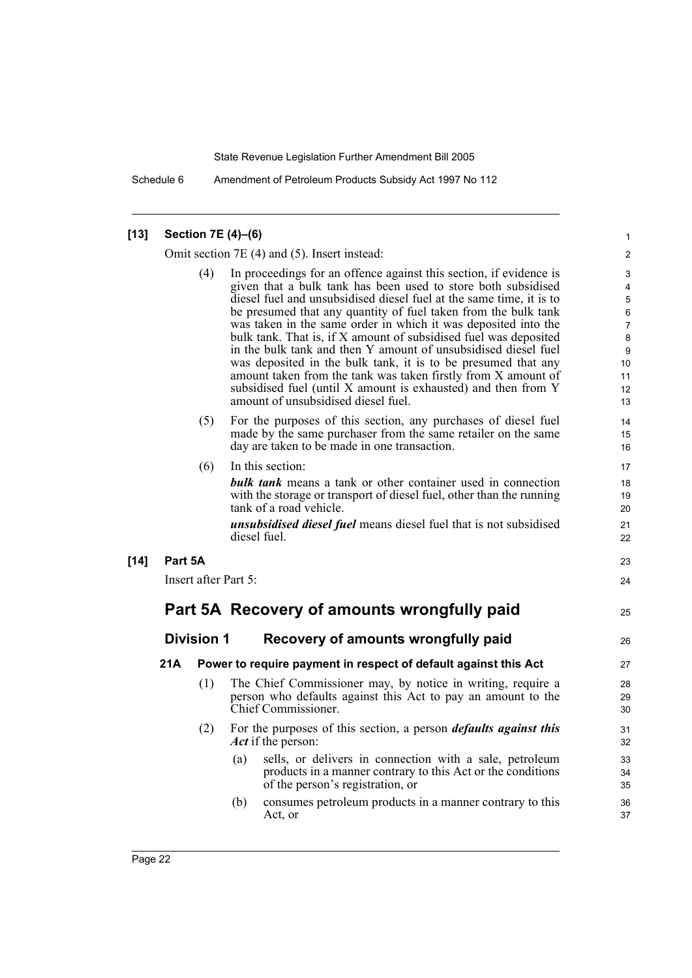Schedule 6 Amendment of Petroleum Products Subsidy Act 1997 No 112

| $[13]$ | Section 7E (4)-(6) |                   |                                                                                                                                                                                                                                                                                                                                                                                                                                                                                                                                                                                                                                                                                                                                |                                                                                            |
|--------|--------------------|-------------------|--------------------------------------------------------------------------------------------------------------------------------------------------------------------------------------------------------------------------------------------------------------------------------------------------------------------------------------------------------------------------------------------------------------------------------------------------------------------------------------------------------------------------------------------------------------------------------------------------------------------------------------------------------------------------------------------------------------------------------|--------------------------------------------------------------------------------------------|
|        |                    |                   | Omit section $7E(4)$ and $(5)$ . Insert instead:                                                                                                                                                                                                                                                                                                                                                                                                                                                                                                                                                                                                                                                                               | 2                                                                                          |
|        |                    | (4)               | In proceedings for an offence against this section, if evidence is<br>given that a bulk tank has been used to store both subsidised<br>diesel fuel and unsubsidised diesel fuel at the same time, it is to<br>be presumed that any quantity of fuel taken from the bulk tank<br>was taken in the same order in which it was deposited into the<br>bulk tank. That is, if X amount of subsidised fuel was deposited<br>in the bulk tank and then Y amount of unsubsidised diesel fuel<br>was deposited in the bulk tank, it is to be presumed that any<br>amount taken from the tank was taken firstly from X amount of<br>subsidised fuel (until X amount is exhausted) and then from Y<br>amount of unsubsidised diesel fuel. | 3<br>$\overline{\mathbf{4}}$<br>5<br>6<br>$\overline{7}$<br>8<br>9<br>10<br>11<br>12<br>13 |
|        |                    | (5)               | For the purposes of this section, any purchases of diesel fuel<br>made by the same purchaser from the same retailer on the same<br>day are taken to be made in one transaction.                                                                                                                                                                                                                                                                                                                                                                                                                                                                                                                                                | 14<br>15<br>16                                                                             |
|        |                    | (6)               | In this section:<br><b>bulk tank</b> means a tank or other container used in connection<br>with the storage or transport of diesel fuel, other than the running<br>tank of a road vehicle.<br><i>unsubsidised diesel fuel</i> means diesel fuel that is not subsidised<br>diesel fuel.                                                                                                                                                                                                                                                                                                                                                                                                                                         | 17<br>18<br>19<br>20<br>21<br>22                                                           |
| $[14]$ | Part 5A            |                   | Insert after Part 5:                                                                                                                                                                                                                                                                                                                                                                                                                                                                                                                                                                                                                                                                                                           | 23<br>24                                                                                   |
|        |                    |                   | Part 5A Recovery of amounts wrongfully paid                                                                                                                                                                                                                                                                                                                                                                                                                                                                                                                                                                                                                                                                                    | 25                                                                                         |
|        |                    | <b>Division 1</b> | Recovery of amounts wrongfully paid                                                                                                                                                                                                                                                                                                                                                                                                                                                                                                                                                                                                                                                                                            | 26                                                                                         |
|        | 21A                |                   | Power to require payment in respect of default against this Act                                                                                                                                                                                                                                                                                                                                                                                                                                                                                                                                                                                                                                                                | 27                                                                                         |
|        |                    | (1)               | The Chief Commissioner may, by notice in writing, require a<br>person who defaults against this Act to pay an amount to the<br>Chief Commissioner.                                                                                                                                                                                                                                                                                                                                                                                                                                                                                                                                                                             | 28<br>29<br>30                                                                             |
|        |                    | (2)               | For the purposes of this section, a person <i>defaults against this</i><br>Act if the person:                                                                                                                                                                                                                                                                                                                                                                                                                                                                                                                                                                                                                                  | 31<br>32                                                                                   |
|        |                    |                   | sells, or delivers in connection with a sale, petroleum<br>(a)<br>products in a manner contrary to this Act or the conditions<br>of the person's registration, or                                                                                                                                                                                                                                                                                                                                                                                                                                                                                                                                                              | 33<br>34<br>35                                                                             |
|        |                    |                   | (b)<br>consumes petroleum products in a manner contrary to this<br>Act, or                                                                                                                                                                                                                                                                                                                                                                                                                                                                                                                                                                                                                                                     | 36<br>37                                                                                   |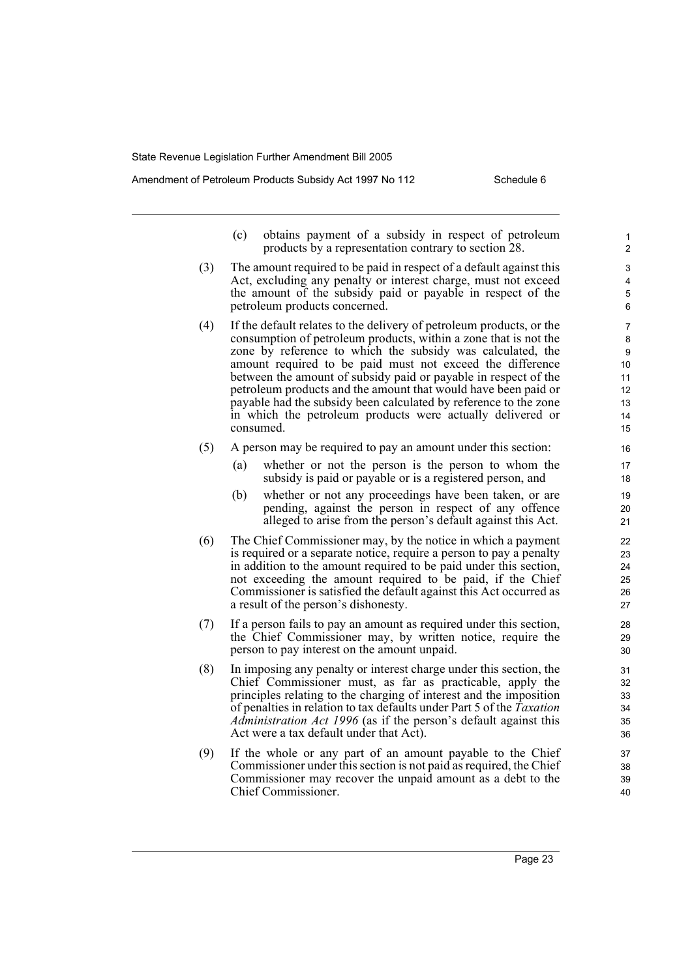Amendment of Petroleum Products Subsidy Act 1997 No 112 Schedule 6

- (c) obtains payment of a subsidy in respect of petroleum products by a representation contrary to section 28.
- (3) The amount required to be paid in respect of a default against this Act, excluding any penalty or interest charge, must not exceed the amount of the subsidy paid or payable in respect of the petroleum products concerned.
- (4) If the default relates to the delivery of petroleum products, or the consumption of petroleum products, within a zone that is not the zone by reference to which the subsidy was calculated, the amount required to be paid must not exceed the difference between the amount of subsidy paid or payable in respect of the petroleum products and the amount that would have been paid or payable had the subsidy been calculated by reference to the zone in which the petroleum products were actually delivered or consumed.
- (5) A person may be required to pay an amount under this section:
	- (a) whether or not the person is the person to whom the subsidy is paid or payable or is a registered person, and
	- (b) whether or not any proceedings have been taken, or are pending, against the person in respect of any offence alleged to arise from the person's default against this Act.
- (6) The Chief Commissioner may, by the notice in which a payment is required or a separate notice, require a person to pay a penalty in addition to the amount required to be paid under this section, not exceeding the amount required to be paid, if the Chief Commissioner is satisfied the default against this Act occurred as a result of the person's dishonesty.
- (7) If a person fails to pay an amount as required under this section, the Chief Commissioner may, by written notice, require the person to pay interest on the amount unpaid.
- (8) In imposing any penalty or interest charge under this section, the Chief Commissioner must, as far as practicable, apply the principles relating to the charging of interest and the imposition of penalties in relation to tax defaults under Part 5 of the *Taxation Administration Act 1996* (as if the person's default against this Act were a tax default under that Act).
- (9) If the whole or any part of an amount payable to the Chief Commissioner under this section is not paid as required, the Chief Commissioner may recover the unpaid amount as a debt to the Chief Commissioner.

Page 23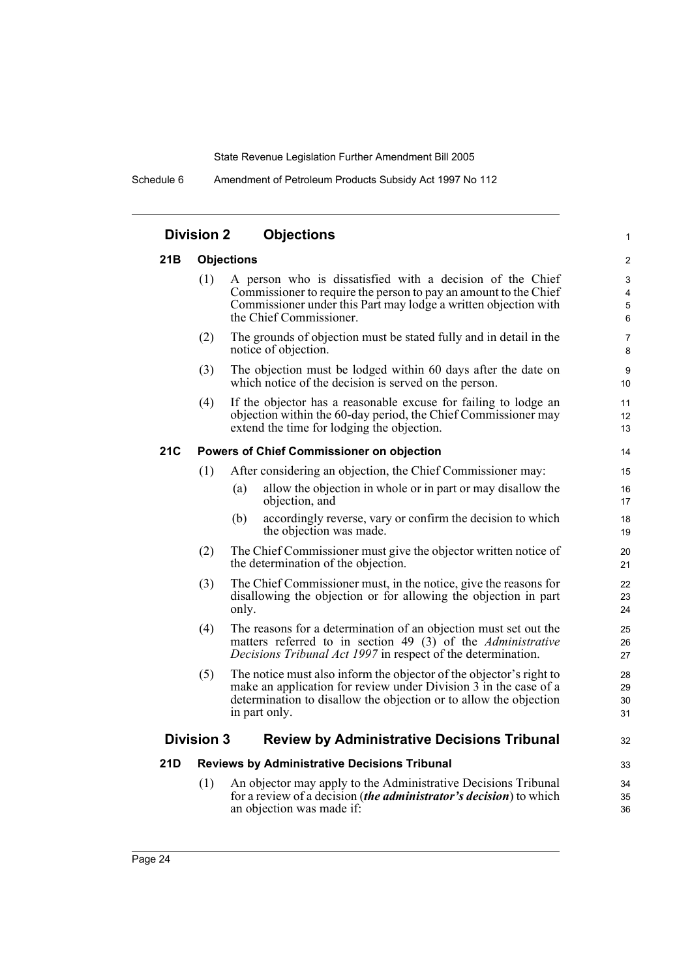| <b>Division 2</b> | <b>Objections</b> |
|-------------------|-------------------|
|-------------------|-------------------|

## **21B Objections**

| 21B | <b>Objections</b> |       |                                                                                                                                                                                                                               |                      |  |
|-----|-------------------|-------|-------------------------------------------------------------------------------------------------------------------------------------------------------------------------------------------------------------------------------|----------------------|--|
|     | (1)               |       | A person who is dissatisfied with a decision of the Chief<br>Commissioner to require the person to pay an amount to the Chief<br>Commissioner under this Part may lodge a written objection with<br>the Chief Commissioner.   | 3<br>4<br>5<br>6     |  |
|     | (2)               |       | The grounds of objection must be stated fully and in detail in the<br>notice of objection.                                                                                                                                    | 7<br>8               |  |
|     | (3)               |       | The objection must be lodged within 60 days after the date on<br>which notice of the decision is served on the person.                                                                                                        | 9<br>10 <sup>1</sup> |  |
|     | (4)               |       | If the objector has a reasonable excuse for failing to lodge an<br>objection within the 60-day period, the Chief Commissioner may<br>extend the time for lodging the objection.                                               | 11<br>12<br>13       |  |
| 21C |                   |       | Powers of Chief Commissioner on objection                                                                                                                                                                                     | 14                   |  |
|     | (1)               |       | After considering an objection, the Chief Commissioner may:                                                                                                                                                                   | 15                   |  |
|     |                   | (a)   | allow the objection in whole or in part or may disallow the<br>objection, and                                                                                                                                                 | 16<br>17             |  |
|     |                   | (b)   | accordingly reverse, vary or confirm the decision to which<br>the objection was made.                                                                                                                                         | 18<br>19             |  |
|     | (2)               |       | The Chief Commissioner must give the objector written notice of<br>the determination of the objection.                                                                                                                        | 20<br>21             |  |
|     | (3)               | only. | The Chief Commissioner must, in the notice, give the reasons for<br>disallowing the objection or for allowing the objection in part                                                                                           | 22<br>23<br>24       |  |
|     | (4)               |       | The reasons for a determination of an objection must set out the<br>matters referred to in section 49 (3) of the Administrative<br>Decisions Tribunal Act 1997 in respect of the determination.                               | 25<br>26<br>27       |  |
|     | (5)               |       | The notice must also inform the objector of the objector's right to<br>make an application for review under Division 3 in the case of a<br>determination to disallow the objection or to allow the objection<br>in part only. | 28<br>29<br>30<br>31 |  |
|     | <b>Division 3</b> |       | <b>Review by Administrative Decisions Tribunal</b>                                                                                                                                                                            | 32                   |  |
| 21D |                   |       | <b>Reviews by Administrative Decisions Tribunal</b>                                                                                                                                                                           | 33                   |  |
|     | (1)               |       | An objector may apply to the Administrative Decisions Tribunal<br>for a review of a decision <i>(the administrator's decision</i> ) to which<br>an objection was made if:                                                     | 34<br>35<br>36       |  |

1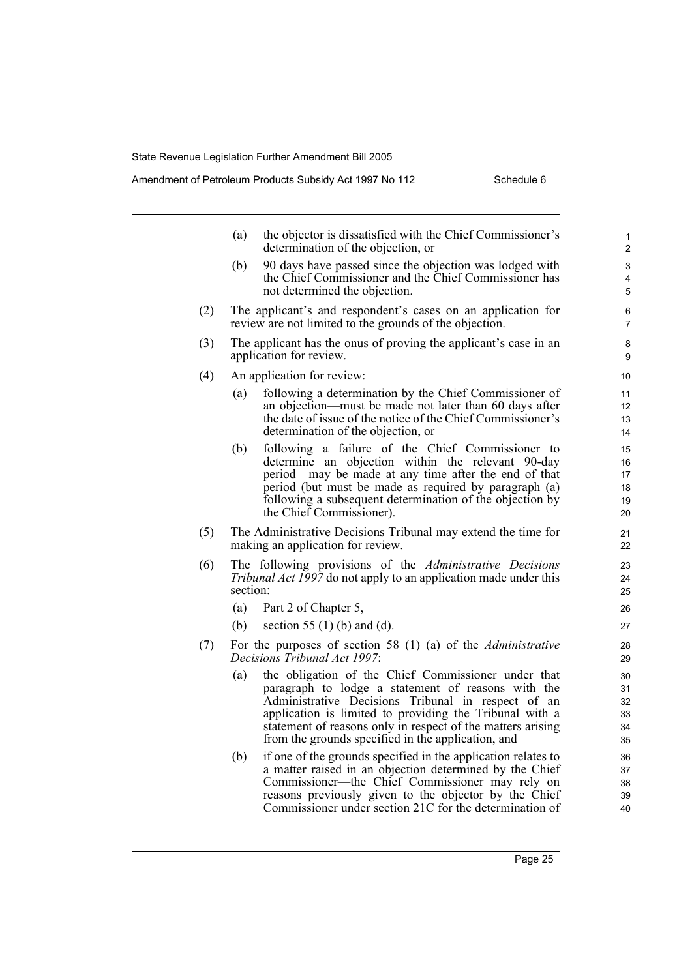#### Amendment of Petroleum Products Subsidy Act 1997 No 112 Schedule 6

(a) the objector is dissatisfied with the Chief Commissioner's determination of the objection, or (b) 90 days have passed since the objection was lodged with the Chief Commissioner and the Chief Commissioner has not determined the objection. (2) The applicant's and respondent's cases on an application for review are not limited to the grounds of the objection. (3) The applicant has the onus of proving the applicant's case in an application for review. (4) An application for review: (a) following a determination by the Chief Commissioner of an objection—must be made not later than 60 days after the date of issue of the notice of the Chief Commissioner's determination of the objection, or (b) following a failure of the Chief Commissioner to determine an objection within the relevant 90-day period—may be made at any time after the end of that period (but must be made as required by paragraph (a) following a subsequent determination of the objection by the Chief Commissioner). (5) The Administrative Decisions Tribunal may extend the time for making an application for review. (6) The following provisions of the *Administrative Decisions Tribunal Act 1997* do not apply to an application made under this section: (a) Part 2 of Chapter 5, (b) section 55 (1) (b) and (d). (7) For the purposes of section 58 (1) (a) of the *Administrative Decisions Tribunal Act 1997*: (a) the obligation of the Chief Commissioner under that paragraph to lodge a statement of reasons with the Administrative Decisions Tribunal in respect of an application is limited to providing the Tribunal with a statement of reasons only in respect of the matters arising from the grounds specified in the application, and (b) if one of the grounds specified in the application relates to a matter raised in an objection determined by the Chief Commissioner—the Chief Commissioner may rely on 1 2 3 4 5 6 7 8 **9** 10 11 12 13 14 15 16 17 18 19  $20$  $21$ 22 23 24 25 26 27 28 29 30 31 32 33 34 35 36 37 38

> reasons previously given to the objector by the Chief Commissioner under section 21C for the determination of

39 40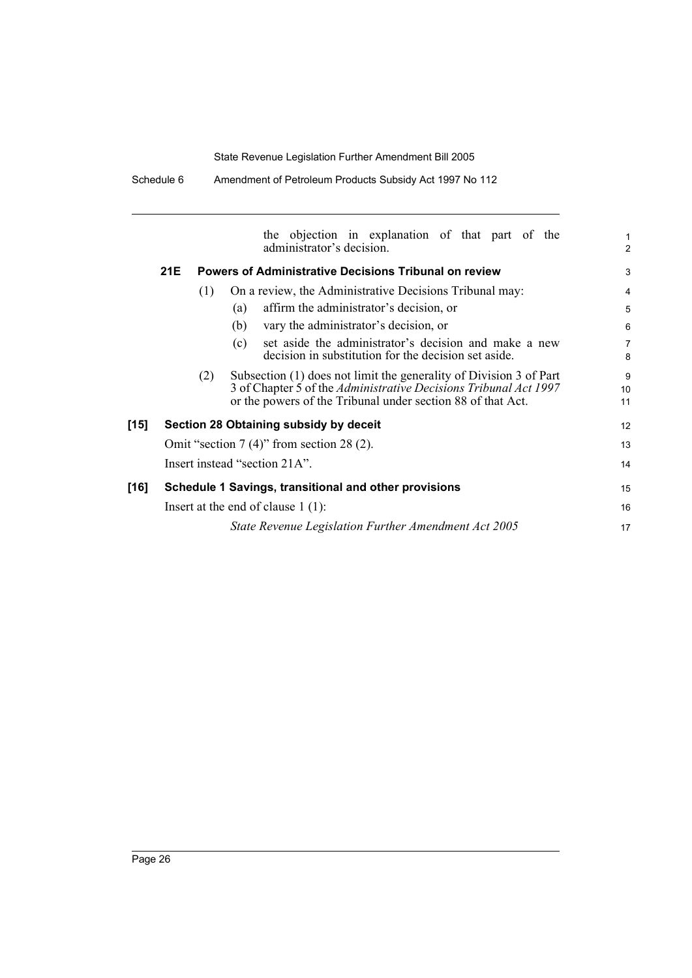Schedule 6 Amendment of Petroleum Products Subsidy Act 1997 No 112

|        |     |     | the objection in explanation of that part of the<br>administrator's decision.                                                                                                                         | $\mathbf{1}$<br>$\overline{2}$ |
|--------|-----|-----|-------------------------------------------------------------------------------------------------------------------------------------------------------------------------------------------------------|--------------------------------|
|        | 21E |     | <b>Powers of Administrative Decisions Tribunal on review</b>                                                                                                                                          | 3                              |
|        |     | (1) | On a review, the Administrative Decisions Tribunal may:                                                                                                                                               | 4                              |
|        |     |     | affirm the administrator's decision, or<br>(a)                                                                                                                                                        | 5                              |
|        |     |     | vary the administrator's decision, or<br>(b)                                                                                                                                                          | 6                              |
|        |     |     | set aside the administrator's decision and make a new<br>(c)<br>decision in substitution for the decision set aside.                                                                                  | $\overline{7}$<br>8            |
|        |     | (2) | Subsection (1) does not limit the generality of Division 3 of Part<br>3 of Chapter 5 of the Administrative Decisions Tribunal Act 1997<br>or the powers of the Tribunal under section 88 of that Act. | 9<br>10<br>11                  |
| $[15]$ |     |     | Section 28 Obtaining subsidy by deceit                                                                                                                                                                | 12                             |
|        |     |     | Omit "section $7(4)$ " from section 28 (2).                                                                                                                                                           | 13                             |
|        |     |     | Insert instead "section 21A".                                                                                                                                                                         | 14                             |
| $[16]$ |     |     | Schedule 1 Savings, transitional and other provisions                                                                                                                                                 | 15                             |
|        |     |     | Insert at the end of clause $1(1)$ :                                                                                                                                                                  | 16                             |
|        |     |     | State Revenue Legislation Further Amendment Act 2005                                                                                                                                                  | 17                             |
|        |     |     |                                                                                                                                                                                                       |                                |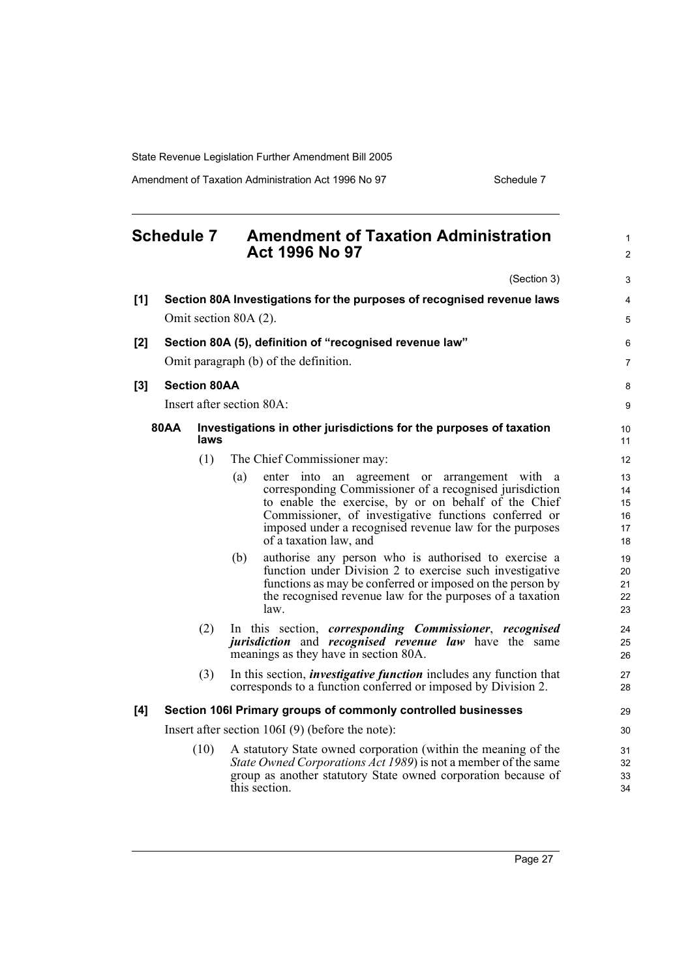Amendment of Taxation Administration Act 1996 No 97 Schedule 7

| <b>Schedule 7</b> |      |                     | <b>Amendment of Taxation Administration</b><br><b>Act 1996 No 97</b>                                                                                                                                                                                                                                                  | 1<br>$\overline{c}$              |
|-------------------|------|---------------------|-----------------------------------------------------------------------------------------------------------------------------------------------------------------------------------------------------------------------------------------------------------------------------------------------------------------------|----------------------------------|
|                   |      |                     | (Section 3)                                                                                                                                                                                                                                                                                                           | 3                                |
| [1]               |      |                     | Section 80A Investigations for the purposes of recognised revenue laws                                                                                                                                                                                                                                                | 4                                |
|                   |      |                     | Omit section 80A (2).                                                                                                                                                                                                                                                                                                 | 5                                |
| [2]               |      |                     | Section 80A (5), definition of "recognised revenue law"                                                                                                                                                                                                                                                               | 6                                |
|                   |      |                     | Omit paragraph (b) of the definition.                                                                                                                                                                                                                                                                                 | 7                                |
| $[3]$             |      | <b>Section 80AA</b> |                                                                                                                                                                                                                                                                                                                       | 8                                |
|                   |      |                     | Insert after section 80A:                                                                                                                                                                                                                                                                                             | 9                                |
|                   | 80AA | laws                | Investigations in other jurisdictions for the purposes of taxation                                                                                                                                                                                                                                                    | 10<br>11                         |
|                   |      | (1)                 | The Chief Commissioner may:                                                                                                                                                                                                                                                                                           | 12                               |
|                   |      |                     | (a)<br>enter into an agreement or arrangement with a<br>corresponding Commissioner of a recognised jurisdiction<br>to enable the exercise, by or on behalf of the Chief<br>Commissioner, of investigative functions conferred or<br>imposed under a recognised revenue law for the purposes<br>of a taxation law, and | 13<br>14<br>15<br>16<br>17<br>18 |
|                   |      |                     | authorise any person who is authorised to exercise a<br>(b)<br>function under Division 2 to exercise such investigative<br>functions as may be conferred or imposed on the person by<br>the recognised revenue law for the purposes of a taxation<br>law.                                                             | 19<br>20<br>21<br>22<br>23       |
|                   |      | (2)                 | In this section, <i>corresponding Commissioner</i> , <i>recognised</i><br><i>jurisdiction</i> and <i>recognised revenue law</i> have the same<br>meanings as they have in section 80A.                                                                                                                                | 24<br>25<br>26                   |
|                   |      | (3)                 | In this section, <i>investigative function</i> includes any function that<br>corresponds to a function conferred or imposed by Division 2.                                                                                                                                                                            | 27<br>28                         |
| [4]               |      |                     | Section 106I Primary groups of commonly controlled businesses                                                                                                                                                                                                                                                         | 29                               |
|                   |      |                     | Insert after section $106I(9)$ (before the note):                                                                                                                                                                                                                                                                     | 30                               |
|                   |      | (10)                | A statutory State owned corporation (within the meaning of the<br>State Owned Corporations Act 1989) is not a member of the same<br>group as another statutory State owned corporation because of<br>this section.                                                                                                    | 31<br>32<br>33<br>34             |

Page 27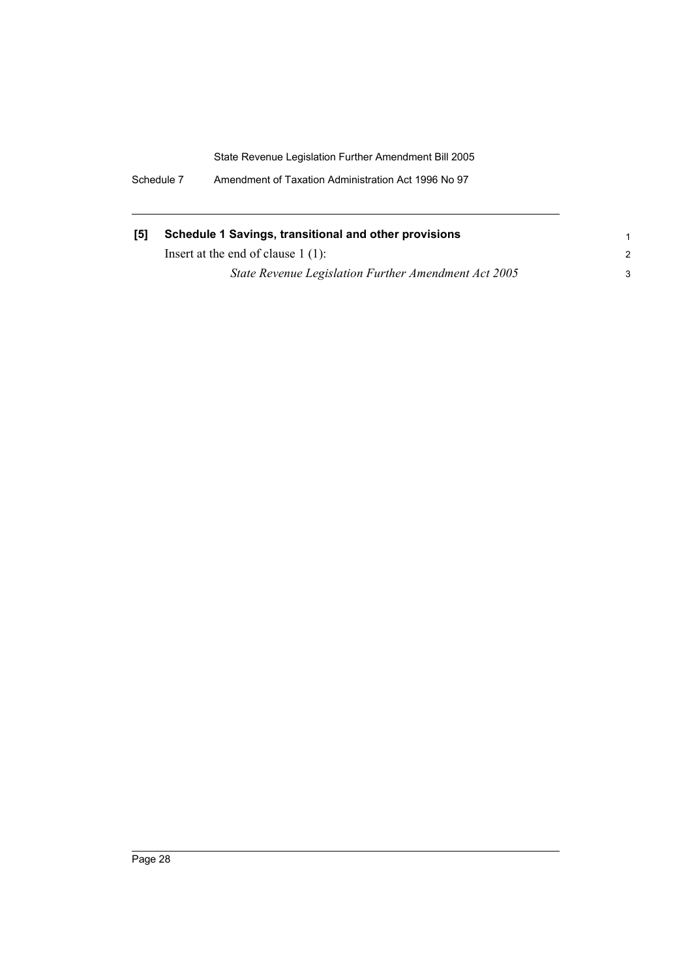Schedule 7 Amendment of Taxation Administration Act 1996 No 97

| [5] | Schedule 1 Savings, transitional and other provisions |   |
|-----|-------------------------------------------------------|---|
|     | Insert at the end of clause $1(1)$ :                  | 2 |
|     | State Revenue Legislation Further Amendment Act 2005  |   |